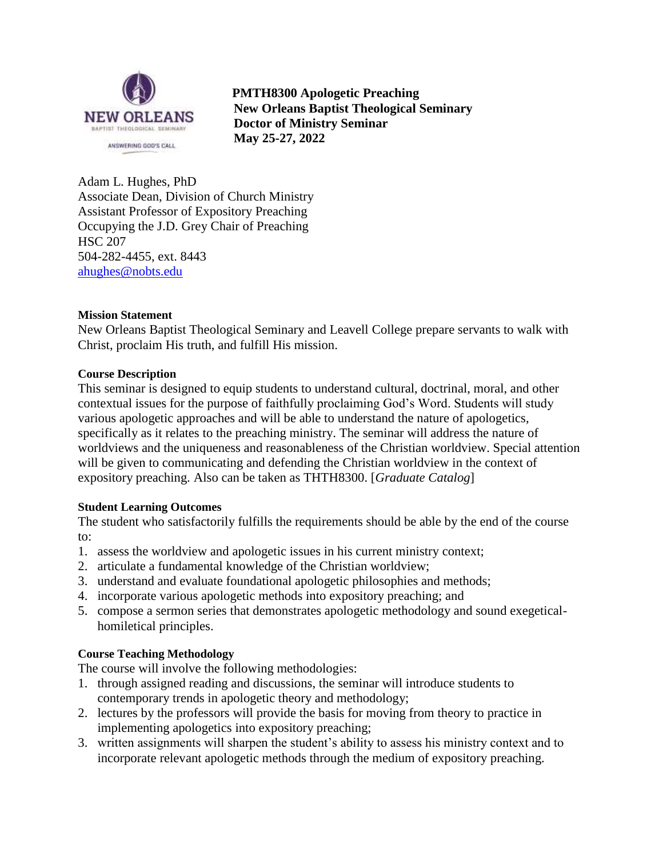

 **PMTH8300 Apologetic Preaching New Orleans Baptist Theological Seminary Doctor of Ministry Seminar May 25-27, 2022**

Adam L. Hughes, PhD Associate Dean, Division of Church Ministry Assistant Professor of Expository Preaching Occupying the J.D. Grey Chair of Preaching HSC 207 504-282-4455, ext. 8443 [ahughes@nobts.edu](mailto:ahughes@nobts.edu)

## **Mission Statement**

New Orleans Baptist Theological Seminary and Leavell College prepare servants to walk with Christ, proclaim His truth, and fulfill His mission.

## **Course Description**

This seminar is designed to equip students to understand cultural, doctrinal, moral, and other contextual issues for the purpose of faithfully proclaiming God's Word. Students will study various apologetic approaches and will be able to understand the nature of apologetics, specifically as it relates to the preaching ministry. The seminar will address the nature of worldviews and the uniqueness and reasonableness of the Christian worldview. Special attention will be given to communicating and defending the Christian worldview in the context of expository preaching. Also can be taken as THTH8300. [*Graduate Catalog*]

### **Student Learning Outcomes**

The student who satisfactorily fulfills the requirements should be able by the end of the course to:

- 1. assess the worldview and apologetic issues in his current ministry context;
- 2. articulate a fundamental knowledge of the Christian worldview;
- 3. understand and evaluate foundational apologetic philosophies and methods;
- 4. incorporate various apologetic methods into expository preaching; and
- 5. compose a sermon series that demonstrates apologetic methodology and sound exegeticalhomiletical principles.

## **Course Teaching Methodology**

The course will involve the following methodologies:

- 1. through assigned reading and discussions, the seminar will introduce students to contemporary trends in apologetic theory and methodology;
- 2. lectures by the professors will provide the basis for moving from theory to practice in implementing apologetics into expository preaching;
- 3. written assignments will sharpen the student's ability to assess his ministry context and to incorporate relevant apologetic methods through the medium of expository preaching.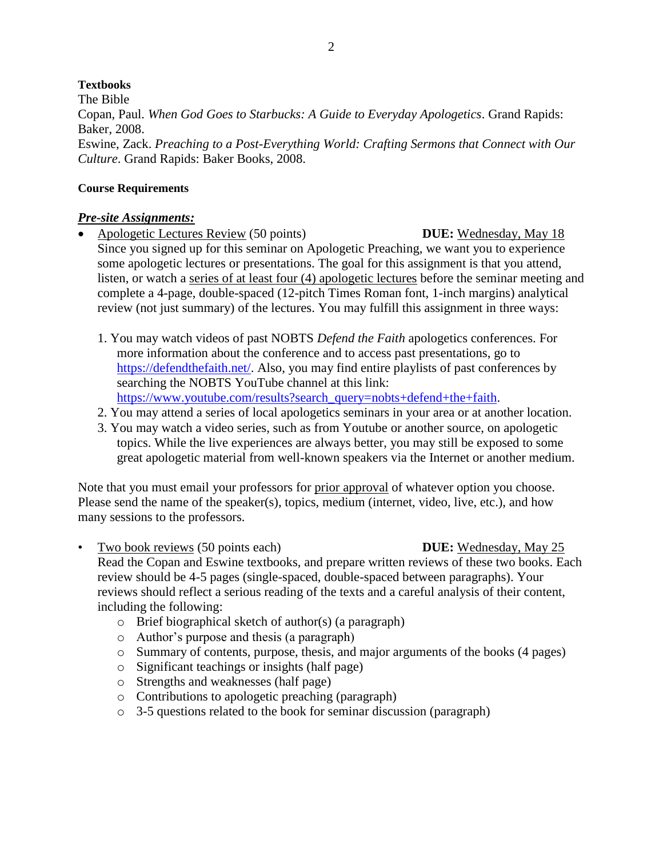## **Textbooks**

The Bible Copan, Paul. *When God Goes to Starbucks: A Guide to Everyday Apologetics*. Grand Rapids: Baker, 2008. Eswine, Zack. *Preaching to a Post-Everything World: Crafting Sermons that Connect with Our Culture*. Grand Rapids: Baker Books, 2008.

## **Course Requirements**

## *Pre-site Assignments:*

- Apologetic Lectures Review (50 points) **DUE:** Wednesday, May 18 Since you signed up for this seminar on Apologetic Preaching, we want you to experience some apologetic lectures or presentations. The goal for this assignment is that you attend, listen, or watch a series of at least four (4) apologetic lectures before the seminar meeting and complete a 4-page, double-spaced (12-pitch Times Roman font, 1-inch margins) analytical review (not just summary) of the lectures. You may fulfill this assignment in three ways:
	- 1. You may watch videos of past NOBTS *Defend the Faith* apologetics conferences. For more information about the conference and to access past presentations, go to [https://defendthefaith.net/.](https://defendthefaith.net/) Also, you may find entire playlists of past conferences by searching the NOBTS YouTube channel at this link: [https://www.youtube.com/results?search\\_query=nobts+defend+the+faith.](https://www.youtube.com/results?search_query=nobts+defend+the+faith)
	- 2. You may attend a series of local apologetics seminars in your area or at another location.
	- 3. You may watch a video series, such as from Youtube or another source, on apologetic topics. While the live experiences are always better, you may still be exposed to some great apologetic material from well-known speakers via the Internet or another medium.

Note that you must email your professors for prior approval of whatever option you choose. Please send the name of the speaker(s), topics, medium (internet, video, live, etc.), and how many sessions to the professors.

- Two book reviews (50 points each) **DUE:** Wednesday, May 25 Read the Copan and Eswine textbooks, and prepare written reviews of these two books. Each review should be 4-5 pages (single-spaced, double-spaced between paragraphs). Your reviews should reflect a serious reading of the texts and a careful analysis of their content, including the following:
	- o Brief biographical sketch of author(s) (a paragraph)
	- o Author's purpose and thesis (a paragraph)
	- o Summary of contents, purpose, thesis, and major arguments of the books (4 pages)
	- o Significant teachings or insights (half page)
	- o Strengths and weaknesses (half page)
	- o Contributions to apologetic preaching (paragraph)
	- o 3-5 questions related to the book for seminar discussion (paragraph)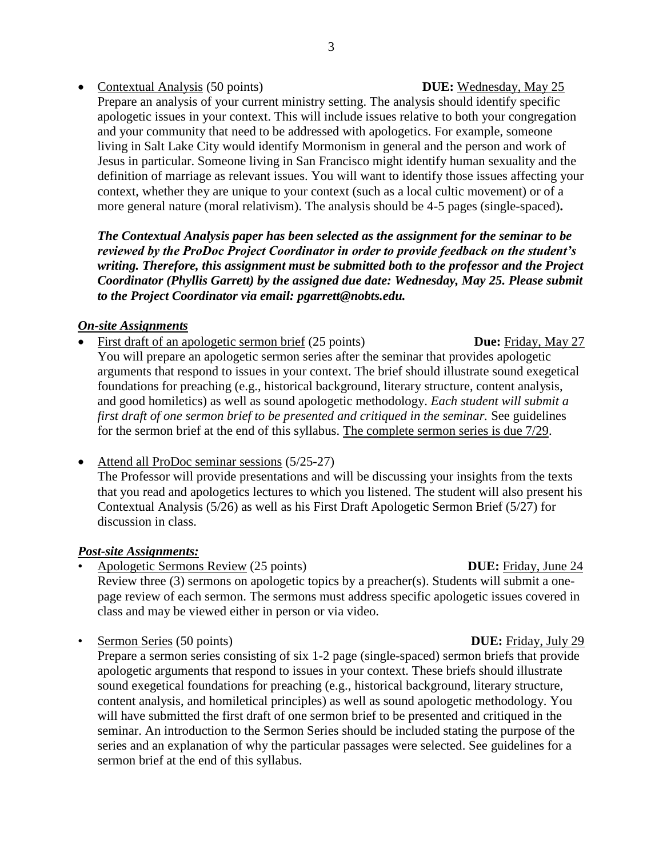## • Contextual Analysis (50 points) **DUE:** Wednesday, May 25

Prepare an analysis of your current ministry setting. The analysis should identify specific apologetic issues in your context. This will include issues relative to both your congregation and your community that need to be addressed with apologetics. For example, someone living in Salt Lake City would identify Mormonism in general and the person and work of Jesus in particular. Someone living in San Francisco might identify human sexuality and the definition of marriage as relevant issues. You will want to identify those issues affecting your context, whether they are unique to your context (such as a local cultic movement) or of a more general nature (moral relativism). The analysis should be 4-5 pages (single-spaced)**.**

*The Contextual Analysis paper has been selected as the assignment for the seminar to be reviewed by the ProDoc Project Coordinator in order to provide feedback on the student's writing. Therefore, this assignment must be submitted both to the professor and the Project Coordinator (Phyllis Garrett) by the assigned due date: Wednesday, May 25. Please submit to the Project Coordinator via email: pgarrett@nobts.edu.*

## *On-site Assignments*

- First draft of an apologetic sermon brief (25 points) **Due:** Friday, May 27 You will prepare an apologetic sermon series after the seminar that provides apologetic arguments that respond to issues in your context. The brief should illustrate sound exegetical foundations for preaching (e.g., historical background, literary structure, content analysis, and good homiletics) as well as sound apologetic methodology. *Each student will submit a first draft of one sermon brief to be presented and critiqued in the seminar.* See guidelines for the sermon brief at the end of this syllabus. The complete sermon series is due 7/29.
- Attend all ProDoc seminar sessions (5/25-27)

The Professor will provide presentations and will be discussing your insights from the texts that you read and apologetics lectures to which you listened. The student will also present his Contextual Analysis (5/26) as well as his First Draft Apologetic Sermon Brief (5/27) for discussion in class.

## *Post-site Assignments:*

• Apologetic Sermons Review (25 points) **DUE:** Friday, June 24

Review three (3) sermons on apologetic topics by a preacher(s). Students will submit a onepage review of each sermon. The sermons must address specific apologetic issues covered in class and may be viewed either in person or via video.

• Sermon Series (50 points) **DUE:** Friday, July 29

Prepare a sermon series consisting of six 1-2 page (single-spaced) sermon briefs that provide apologetic arguments that respond to issues in your context. These briefs should illustrate sound exegetical foundations for preaching (e.g., historical background, literary structure, content analysis, and homiletical principles) as well as sound apologetic methodology. You will have submitted the first draft of one sermon brief to be presented and critiqued in the seminar. An introduction to the Sermon Series should be included stating the purpose of the series and an explanation of why the particular passages were selected. See guidelines for a sermon brief at the end of this syllabus.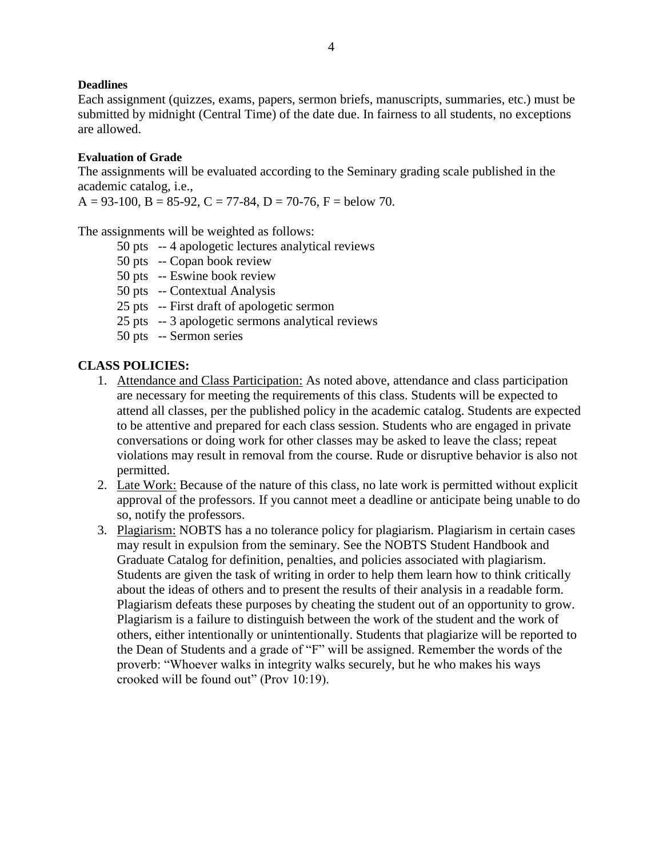## **Deadlines**

Each assignment (quizzes, exams, papers, sermon briefs, manuscripts, summaries, etc.) must be submitted by midnight (Central Time) of the date due. In fairness to all students, no exceptions are allowed.

## **Evaluation of Grade**

The assignments will be evaluated according to the Seminary grading scale published in the academic catalog, i.e.,

 $A = 93-100$ ,  $B = 85-92$ ,  $C = 77-84$ ,  $D = 70-76$ ,  $F =$  below 70.

The assignments will be weighted as follows:

- 50 pts -- 4 apologetic lectures analytical reviews
- 50 pts -- Copan book review
- 50 pts -- Eswine book review
- 50 pts -- Contextual Analysis
- 25 pts -- First draft of apologetic sermon
- 25 pts -- 3 apologetic sermons analytical reviews
- 50 pts -- Sermon series

## **CLASS POLICIES:**

- 1. Attendance and Class Participation: As noted above, attendance and class participation are necessary for meeting the requirements of this class. Students will be expected to attend all classes, per the published policy in the academic catalog. Students are expected to be attentive and prepared for each class session. Students who are engaged in private conversations or doing work for other classes may be asked to leave the class; repeat violations may result in removal from the course. Rude or disruptive behavior is also not permitted.
- 2. Late Work: Because of the nature of this class, no late work is permitted without explicit approval of the professors. If you cannot meet a deadline or anticipate being unable to do so, notify the professors.
- 3. Plagiarism: NOBTS has a no tolerance policy for plagiarism. Plagiarism in certain cases may result in expulsion from the seminary. See the NOBTS Student Handbook and Graduate Catalog for definition, penalties, and policies associated with plagiarism. Students are given the task of writing in order to help them learn how to think critically about the ideas of others and to present the results of their analysis in a readable form. Plagiarism defeats these purposes by cheating the student out of an opportunity to grow. Plagiarism is a failure to distinguish between the work of the student and the work of others, either intentionally or unintentionally. Students that plagiarize will be reported to the Dean of Students and a grade of "F" will be assigned. Remember the words of the proverb: "Whoever walks in integrity walks securely, but he who makes his ways crooked will be found out" (Prov 10:19).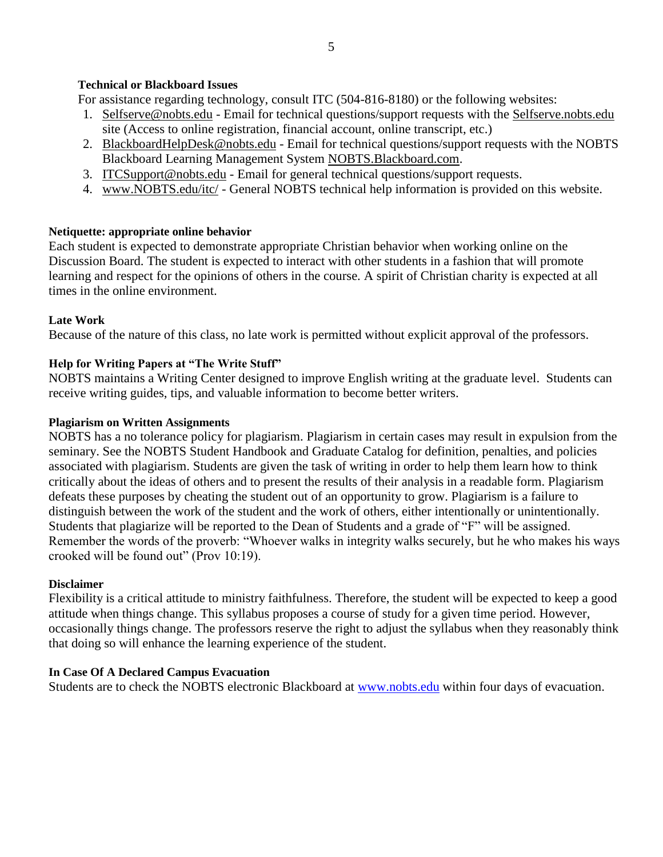## **Technical or Blackboard Issues**

For assistance regarding technology, consult ITC (504-816-8180) or the following websites:

- 1. Selfserve@nobts.edu Email for technical questions/support requests with the Selfserve.nobts.edu site (Access to online registration, financial account, online transcript, etc.)
- 2. BlackboardHelpDesk@nobts.edu Email for technical questions/support requests with the NOBTS Blackboard Learning Management System NOBTS.Blackboard.com.
- 3. ITCSupport@nobts.edu Email for general technical questions/support requests.
- 4. www.NOBTS.edu/itc/ General NOBTS technical help information is provided on this website.

## **Netiquette: appropriate online behavior**

Each student is expected to demonstrate appropriate Christian behavior when working online on the Discussion Board. The student is expected to interact with other students in a fashion that will promote learning and respect for the opinions of others in the course. A spirit of Christian charity is expected at all times in the online environment.

## **Late Work**

Because of the nature of this class, no late work is permitted without explicit approval of the professors.

## **Help for Writing Papers at "The Write Stuff"**

NOBTS maintains a Writing Center designed to improve English writing at the graduate level. Students can receive writing guides, tips, and valuable information to become better writers.

## **Plagiarism on Written Assignments**

NOBTS has a no tolerance policy for plagiarism. Plagiarism in certain cases may result in expulsion from the seminary. See the NOBTS Student Handbook and Graduate Catalog for definition, penalties, and policies associated with plagiarism. Students are given the task of writing in order to help them learn how to think critically about the ideas of others and to present the results of their analysis in a readable form. Plagiarism defeats these purposes by cheating the student out of an opportunity to grow. Plagiarism is a failure to distinguish between the work of the student and the work of others, either intentionally or unintentionally. Students that plagiarize will be reported to the Dean of Students and a grade of "F" will be assigned. Remember the words of the proverb: "Whoever walks in integrity walks securely, but he who makes his ways crooked will be found out" (Prov 10:19).

## **Disclaimer**

Flexibility is a critical attitude to ministry faithfulness. Therefore, the student will be expected to keep a good attitude when things change. This syllabus proposes a course of study for a given time period. However, occasionally things change. The professors reserve the right to adjust the syllabus when they reasonably think that doing so will enhance the learning experience of the student.

## **In Case Of A Declared Campus Evacuation**

Students are to check the NOBTS electronic Blackboard at [www.nobts.edu](http://www.nobts.edu/) within four days of evacuation.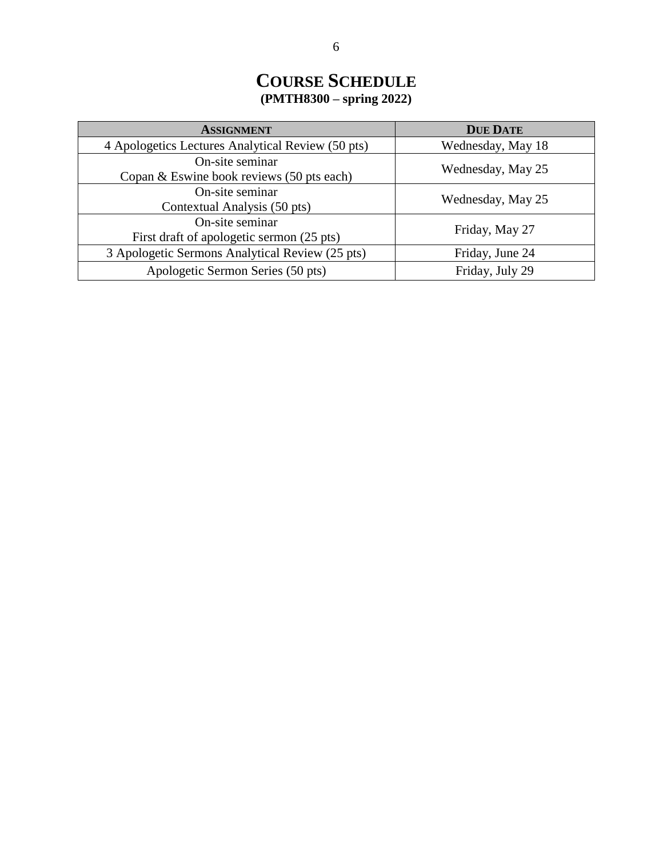# **COURSE SCHEDULE (PMTH8300 – spring 2022)**

| <b>ASSIGNMENT</b>                                     | <b>DUE DATE</b>   |
|-------------------------------------------------------|-------------------|
| 4 Apologetics Lectures Analytical Review (50 pts)     | Wednesday, May 18 |
| On-site seminar                                       | Wednesday, May 25 |
| Copan $&$ Eswine book reviews $(50 \text{ pts each})$ |                   |
| On-site seminar                                       | Wednesday, May 25 |
| Contextual Analysis (50 pts)                          |                   |
| On-site seminar                                       | Friday, May 27    |
| First draft of apologetic sermon (25 pts)             |                   |
| 3 Apologetic Sermons Analytical Review (25 pts)       | Friday, June 24   |
| Apologetic Sermon Series (50 pts)                     | Friday, July 29   |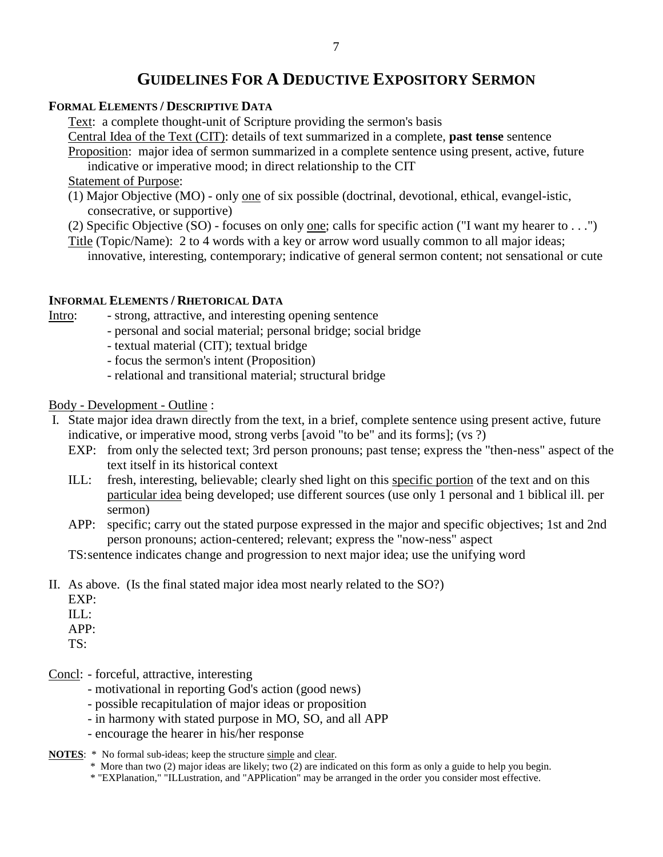## **GUIDELINES FOR A DEDUCTIVE EXPOSITORY SERMON**

## **FORMAL ELEMENTS / DESCRIPTIVE DATA**

Text: a complete thought-unit of Scripture providing the sermon's basis

Central Idea of the Text (CIT): details of text summarized in a complete, **past tense** sentence

Proposition: major idea of sermon summarized in a complete sentence using present, active, future indicative or imperative mood; in direct relationship to the CIT

Statement of Purpose:

- (1) Major Objective (MO) only one of six possible (doctrinal, devotional, ethical, evangel-istic, consecrative, or supportive)
- (2) Specific Objective (SO) focuses on only one; calls for specific action ("I want my hearer to . . .")

Title (Topic/Name): 2 to 4 words with a key or arrow word usually common to all major ideas; innovative, interesting, contemporary; indicative of general sermon content; not sensational or cute

## **INFORMAL ELEMENTS / RHETORICAL DATA**

Intro: - strong, attractive, and interesting opening sentence

- personal and social material; personal bridge; social bridge
- textual material (CIT); textual bridge
- focus the sermon's intent (Proposition)
- relational and transitional material; structural bridge

## Body - Development - Outline :

- I. State major idea drawn directly from the text, in a brief, complete sentence using present active, future indicative, or imperative mood, strong verbs [avoid "to be" and its forms]; (vs ?)
	- EXP: from only the selected text; 3rd person pronouns; past tense; express the "then-ness" aspect of the text itself in its historical context
	- ILL: fresh, interesting, believable; clearly shed light on this specific portion of the text and on this particular idea being developed; use different sources (use only 1 personal and 1 biblical ill. per sermon)
	- APP: specific; carry out the stated purpose expressed in the major and specific objectives; 1st and 2nd person pronouns; action-centered; relevant; express the "now-ness" aspect

TS:sentence indicates change and progression to next major idea; use the unifying word

- II. As above. (Is the final stated major idea most nearly related to the SO?)
	- EXP:
	- ILL:

APP:

TS:

- Concl: forceful, attractive, interesting
	- motivational in reporting God's action (good news)
	- possible recapitulation of major ideas or proposition
	- in harmony with stated purpose in MO, SO, and all APP
	- encourage the hearer in his/her response
- **NOTES:** \* No formal sub-ideas; keep the structure simple and clear.
	- \* More than two (2) major ideas are likely; two (2) are indicated on this form as only a guide to help you begin.
	- \* "EXPlanation," "ILLustration, and "APPlication" may be arranged in the order you consider most effective.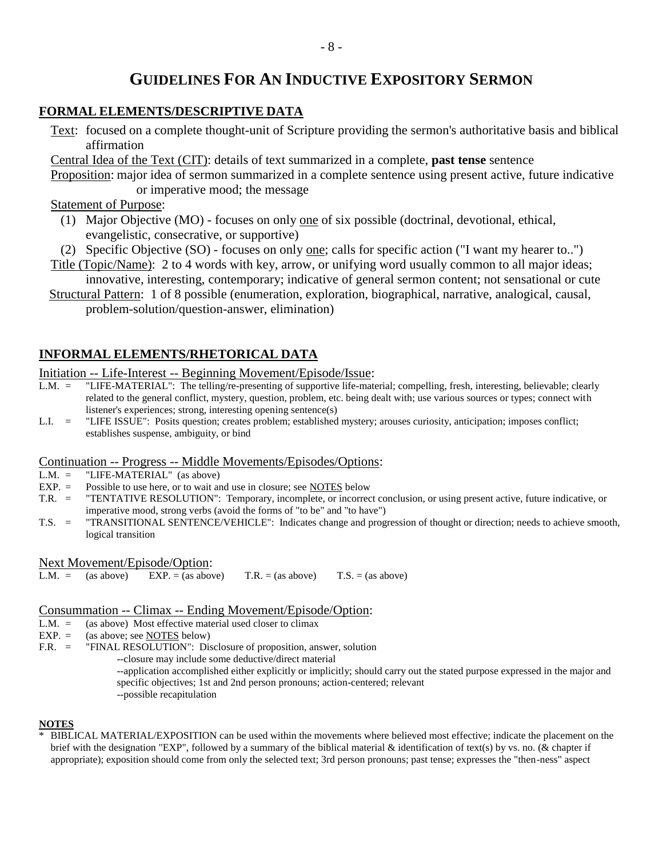## **GUIDELINES FOR AN INDUCTIVE EXPOSITORY SERMON**

## **FORMAL ELEMENTS/DESCRIPTIVE DATA**

Text: focused on a complete thought-unit of Scripture providing the sermon's authoritative basis and biblical affirmation

Central Idea of the Text (CIT): details of text summarized in a complete, **past tense** sentence

Proposition: major idea of sermon summarized in a complete sentence using present active, future indicative or imperative mood; the message

Statement of Purpose:

- (1) Major Objective (MO) focuses on only one of six possible (doctrinal, devotional, ethical, evangelistic, consecrative, or supportive)
- (2) Specific Objective (SO) focuses on only one; calls for specific action ("I want my hearer to..")
- Title (Topic/Name): 2 to 4 words with key, arrow, or unifying word usually common to all major ideas; innovative, interesting, contemporary; indicative of general sermon content; not sensational or cute
- Structural Pattern: 1 of 8 possible (enumeration, exploration, biographical, narrative, analogical, causal, problem-solution/question-answer, elimination)

## **INFORMAL ELEMENTS/RHETORICAL DATA**

Initiation -- Life-Interest -- Beginning Movement/Episode/Issue:

- L.M. = "LIFE-MATERIAL": The telling/re-presenting of supportive life-material; compelling, fresh, interesting, believable; clearly related to the general conflict, mystery, question, problem, etc. being dealt with; use various sources or types; connect with listener's experiences; strong, interesting opening sentence(s)
- L.I. = "LIFE ISSUE": Posits question; creates problem; established mystery; arouses curiosity, anticipation; imposes conflict; establishes suspense, ambiguity, or bind

## Continuation -- Progress -- Middle Movements/Episodes/Options:

- $L.M. =$  "LIFE-MATERIAL" (as above)<br>EXP. = Possible to use here, or to wait are
- Possible to use here, or to wait and use in closure; see NOTES below
- T.R. = "TENTATIVE RESOLUTION": Temporary, incomplete, or incorrect conclusion, or using present active, future indicative, or imperative mood, strong verbs (avoid the forms of "to be" and "to have")
- T.S. = "TRANSITIONAL SENTENCE/VEHICLE": Indicates change and progression of thought or direction; needs to achieve smooth, logical transition

### Next Movement/Episode/Option:

L.M. = (as above)  $EXP = (as above)$  T.R. = (as above) T.S. = (as above)

### Consummation -- Climax -- Ending Movement/Episode/Option:

- $L.M. =$  (as above) Most effective material used closer to climax
- $EXP. =$  (as above; see **NOTES** below)
- F.R. = "FINAL RESOLUTION": Disclosure of proposition, answer, solution

--closure may include some deductive/direct material

--application accomplished either explicitly or implicitly; should carry out the stated purpose expressed in the major and specific objectives; 1st and 2nd person pronouns; action-centered; relevant --possible recapitulation

### **NOTES**

\* BIBLICAL MATERIAL/EXPOSITION can be used within the movements where believed most effective; indicate the placement on the brief with the designation "EXP", followed by a summary of the biblical material  $\&$  identification of text(s) by vs. no. ( $\&$  chapter if appropriate); exposition should come from only the selected text; 3rd person pronouns; past tense; expresses the "then-ness" aspect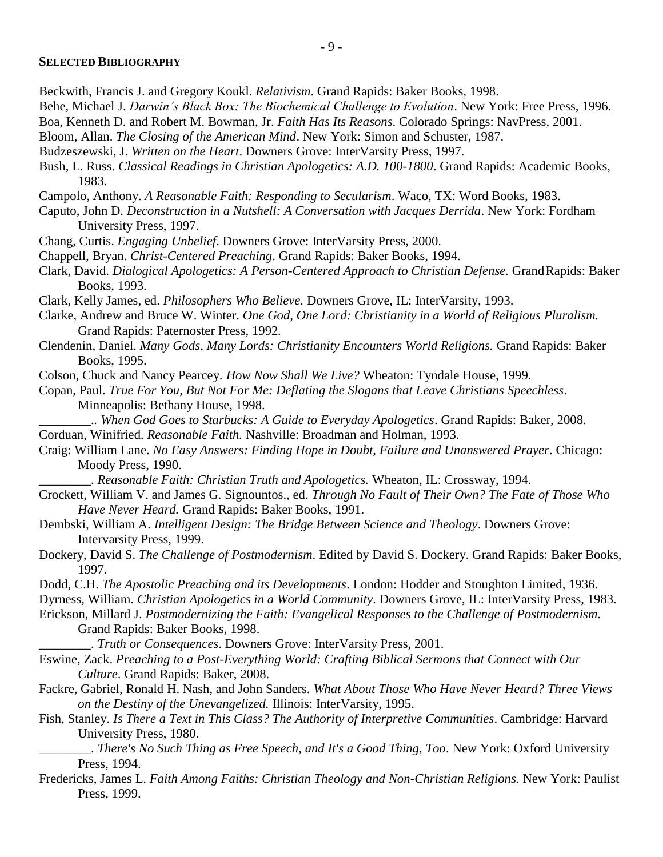### **SELECTED BIBLIOGRAPHY**

- Beckwith, Francis J. and Gregory Koukl. *Relativism*. Grand Rapids: Baker Books, 1998.
- Behe, Michael J. *Darwin's Black Box: The Biochemical Challenge to Evolution*. New York: Free Press, 1996.
- Boa, Kenneth D. and Robert M. Bowman, Jr. *Faith Has Its Reasons*. Colorado Springs: NavPress, 2001.
- Bloom, Allan. *The Closing of the American Mind*. New York: Simon and Schuster, 1987.
- Budzeszewski, J. *Written on the Heart*. Downers Grove: InterVarsity Press, 1997.
- Bush, L. Russ. *Classical Readings in Christian Apologetics: A.D. 100-1800*. Grand Rapids: Academic Books, 1983.
- Campolo, Anthony. *A Reasonable Faith: Responding to Secularism*. Waco, TX: Word Books, 1983.
- Caputo, John D. *Deconstruction in a Nutshell: A Conversation with Jacques Derrida*. New York: Fordham University Press, 1997.
- Chang, Curtis. *Engaging Unbelief*. Downers Grove: InterVarsity Press, 2000.
- Chappell, Bryan. *Christ-Centered Preaching*. Grand Rapids: Baker Books, 1994.
- Clark, David. *Dialogical Apologetics: A Person-Centered Approach to Christian Defense.* GrandRapids: Baker Books, 1993.
- Clark, Kelly James, ed. *Philosophers Who Believe.* Downers Grove, IL: InterVarsity, 1993.
- Clarke, Andrew and Bruce W. Winter. *One God, One Lord: Christianity in a World of Religious Pluralism.*  Grand Rapids: Paternoster Press, 1992*.*
- Clendenin, Daniel. *Many Gods, Many Lords: Christianity Encounters World Religions.* Grand Rapids: Baker Books, 1995.
- Colson, Chuck and Nancy Pearcey. *How Now Shall We Live?* Wheaton: Tyndale House, 1999.
- Copan, Paul. *True For You, But Not For Me: Deflating the Slogans that Leave Christians Speechless*. Minneapolis: Bethany House, 1998.
- \_\_\_\_\_\_\_\_.*. When God Goes to Starbucks: A Guide to Everyday Apologetics*. Grand Rapids: Baker, 2008. Corduan, Winifried. *Reasonable Faith.* Nashville: Broadman and Holman, 1993.
- Craig: William Lane. *No Easy Answers: Finding Hope in Doubt, Failure and Unanswered Prayer*. Chicago: Moody Press, 1990.

\_\_\_\_\_\_\_\_. *Reasonable Faith: Christian Truth and Apologetics.* Wheaton, IL: Crossway, 1994.

- Crockett, William V. and James G. Signountos., ed. *Through No Fault of Their Own? The Fate of Those Who Have Never Heard.* Grand Rapids: Baker Books, 1991.
- Dembski, William A. *Intelligent Design: The Bridge Between Science and Theology*. Downers Grove: Intervarsity Press, 1999.
- Dockery, David S. *The Challenge of Postmodernism*. Edited by David S. Dockery. Grand Rapids: Baker Books, 1997.
- Dodd, C.H. *The Apostolic Preaching and its Developments*. London: Hodder and Stoughton Limited, 1936.
- Dyrness, William. *Christian Apologetics in a World Community*. Downers Grove, IL: InterVarsity Press, 1983.
- Erickson, Millard J. *Postmodernizing the Faith: Evangelical Responses to the Challenge of Postmodernism*. Grand Rapids: Baker Books, 1998.
	- \_\_\_\_\_\_\_\_. *Truth or Consequences*. Downers Grove: InterVarsity Press, 2001.
- Eswine, Zack. *Preaching to a Post-Everything World: Crafting Biblical Sermons that Connect with Our Culture*. Grand Rapids: Baker, 2008.
- Fackre, Gabriel, Ronald H. Nash, and John Sanders. *What About Those Who Have Never Heard? Three Views on the Destiny of the Unevangelized.* Illinois: InterVarsity, 1995.
- Fish, Stanley. *Is There a Text in This Class? The Authority of Interpretive Communities*. Cambridge: Harvard University Press, 1980.
	- \_\_\_\_\_\_\_\_. *There's No Such Thing as Free Speech, and It's a Good Thing, Too*. New York: Oxford University Press, 1994.
- Fredericks, James L. *Faith Among Faiths: Christian Theology and Non-Christian Religions.* New York: Paulist Press, 1999.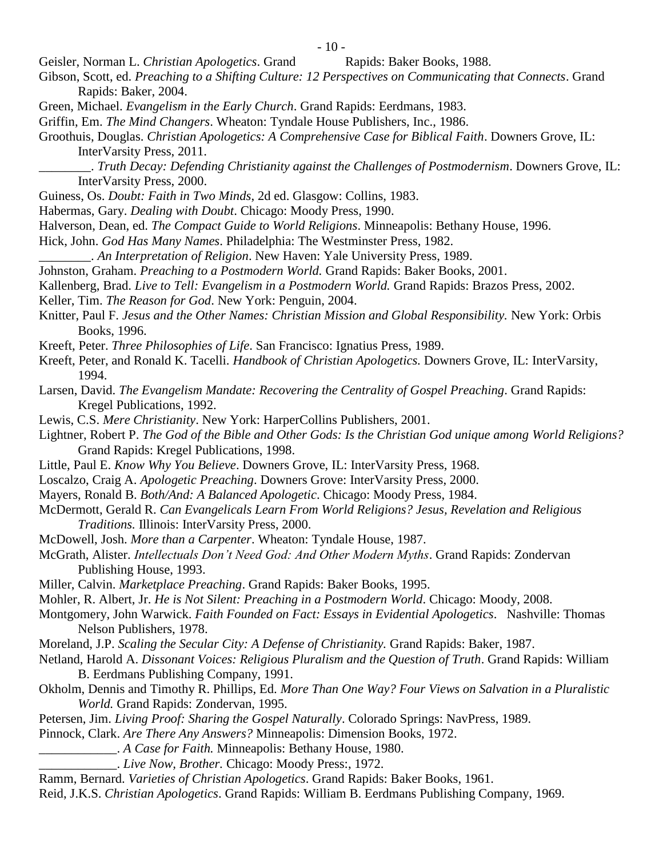Geisler, Norman L. *Christian Apologetics*. Grand Rapids: Baker Books, 1988.

- Gibson, Scott, ed. *Preaching to a Shifting Culture: 12 Perspectives on Communicating that Connects*. Grand Rapids: Baker, 2004.
- Green, Michael. *Evangelism in the Early Church*. Grand Rapids: Eerdmans, 1983.
- Griffin, Em. *The Mind Changers*. Wheaton: Tyndale House Publishers, Inc., 1986.
- Groothuis, Douglas. *Christian Apologetics: A Comprehensive Case for Biblical Faith*. Downers Grove, IL: InterVarsity Press, 2011.
	- \_\_\_\_\_\_\_\_. *Truth Decay: Defending Christianity against the Challenges of Postmodernism*. Downers Grove, IL: InterVarsity Press, 2000.
- Guiness, Os. *Doubt: Faith in Two Minds*, 2d ed. Glasgow: Collins, 1983.
- Habermas, Gary. *Dealing with Doubt*. Chicago: Moody Press, 1990.
- Halverson, Dean, ed. *The Compact Guide to World Religions*. Minneapolis: Bethany House, 1996.
- Hick, John. *God Has Many Names*. Philadelphia: The Westminster Press, 1982.
	- \_\_\_\_\_\_\_\_. *An Interpretation of Religion*. New Haven: Yale University Press, 1989.
- Johnston, Graham. *Preaching to a Postmodern World.* Grand Rapids: Baker Books, 2001.
- Kallenberg, Brad. *Live to Tell: Evangelism in a Postmodern World.* Grand Rapids: Brazos Press, 2002.
- Keller, Tim. *The Reason for God*. New York: Penguin, 2004.
- Knitter, Paul F. *Jesus and the Other Names: Christian Mission and Global Responsibility.* New York: Orbis Books, 1996.
- Kreeft, Peter. *Three Philosophies of Life*. San Francisco: Ignatius Press, 1989.
- Kreeft, Peter, and Ronald K. Tacelli. *Handbook of Christian Apologetics.* Downers Grove, IL: InterVarsity, 1994.
- Larsen, David. *The Evangelism Mandate: Recovering the Centrality of Gospel Preaching*. Grand Rapids: Kregel Publications, 1992.
- Lewis, C.S. *Mere Christianity*. New York: HarperCollins Publishers, 2001.
- Lightner, Robert P. *The God of the Bible and Other Gods: Is the Christian God unique among World Religions?*  Grand Rapids: Kregel Publications, 1998.
- Little, Paul E. *Know Why You Believe*. Downers Grove, IL: InterVarsity Press, 1968.
- Loscalzo, Craig A. *Apologetic Preaching*. Downers Grove: InterVarsity Press, 2000.
- Mayers, Ronald B. *Both/And: A Balanced Apologetic*. Chicago: Moody Press, 1984.
- McDermott, Gerald R. *Can Evangelicals Learn From World Religions? Jesus, Revelation and Religious Traditions.* Illinois: InterVarsity Press, 2000.
- McDowell, Josh. *More than a Carpenter*. Wheaton: Tyndale House, 1987.
- McGrath, Alister. *Intellectuals Don't Need God: And Other Modern Myths*. Grand Rapids: Zondervan Publishing House, 1993.
- Miller, Calvin. *Marketplace Preaching*. Grand Rapids: Baker Books, 1995.
- Mohler, R. Albert, Jr. *He is Not Silent: Preaching in a Postmodern World*. Chicago: Moody, 2008.
- Montgomery, John Warwick. *Faith Founded on Fact: Essays in Evidential Apologetics*. Nashville: Thomas Nelson Publishers, 1978.
- Moreland, J.P. *Scaling the Secular City: A Defense of Christianity.* Grand Rapids: Baker, 1987.
- Netland, Harold A. *Dissonant Voices: Religious Pluralism and the Question of Truth*. Grand Rapids: William B. Eerdmans Publishing Company, 1991.
- Okholm, Dennis and Timothy R. Phillips, Ed. *More Than One Way? Four Views on Salvation in a Pluralistic World.* Grand Rapids: Zondervan, 1995.
- Petersen, Jim. *Living Proof: Sharing the Gospel Naturally*. Colorado Springs: NavPress, 1989.
- Pinnock, Clark. *Are There Any Answers?* Minneapolis: Dimension Books, 1972.
	- \_\_\_\_\_\_\_\_\_\_\_\_. *A Case for Faith.* Minneapolis: Bethany House, 1980.
		- \_\_\_\_\_\_\_\_\_\_\_\_. *Live Now, Brother.* Chicago: Moody Press:, 1972.
- Ramm, Bernard. *Varieties of Christian Apologetics*. Grand Rapids: Baker Books, 1961.
- Reid, J.K.S. *Christian Apologetics*. Grand Rapids: William B. Eerdmans Publishing Company, 1969.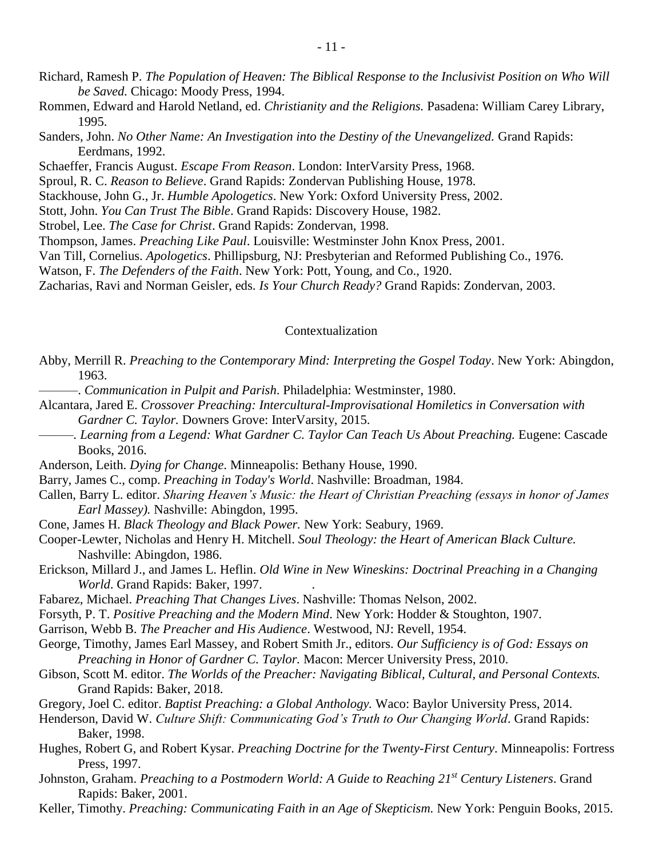- Richard, Ramesh P. *The Population of Heaven: The Biblical Response to the Inclusivist Position on Who Will be Saved.* Chicago: Moody Press, 1994.
- Rommen, Edward and Harold Netland, ed. *Christianity and the Religions.* Pasadena: William Carey Library, 1995.
- Sanders, John. *No Other Name: An Investigation into the Destiny of the Unevangelized.* Grand Rapids: Eerdmans, 1992.
- Schaeffer, Francis August. *Escape From Reason*. London: InterVarsity Press, 1968.
- Sproul, R. C. *Reason to Believe*. Grand Rapids: Zondervan Publishing House, 1978.
- Stackhouse, John G., Jr. *Humble Apologetics*. New York: Oxford University Press, 2002.
- Stott, John. *You Can Trust The Bible*. Grand Rapids: Discovery House, 1982.
- Strobel, Lee. *The Case for Christ*. Grand Rapids: Zondervan, 1998.
- Thompson, James. *Preaching Like Paul*. Louisville: Westminster John Knox Press, 2001.
- Van Till, Cornelius. *Apologetics*. Phillipsburg, NJ: Presbyterian and Reformed Publishing Co., 1976.
- Watson, F. *The Defenders of the Faith*. New York: Pott, Young, and Co., 1920.
- Zacharias, Ravi and Norman Geisler, eds. *Is Your Church Ready?* Grand Rapids: Zondervan, 2003.

### Contextualization

- Abby, Merrill R. *Preaching to the Contemporary Mind: Interpreting the Gospel Today*. New York: Abingdon, 1963.
- ———. *Communication in Pulpit and Parish*. Philadelphia: Westminster, 1980.
- Alcantara, Jared E. *Crossover Preaching: Intercultural-Improvisational Homiletics in Conversation with Gardner C. Taylor.* Downers Grove: InterVarsity, 2015.
- ——. Learning from a Legend: What Gardner C. Taylor Can Teach Us About Preaching. Eugene: Cascade Books, 2016.
- Anderson, Leith. *Dying for Change*. Minneapolis: Bethany House, 1990.
- Barry, James C., comp. *Preaching in Today's World*. Nashville: Broadman, 1984.
- Callen, Barry L. editor. *Sharing Heaven's Music: the Heart of Christian Preaching (essays in honor of James Earl Massey).* Nashville: Abingdon, 1995.
- Cone, James H. *Black Theology and Black Power.* New York: Seabury, 1969.
- Cooper-Lewter, Nicholas and Henry H. Mitchell. *Soul Theology: the Heart of American Black Culture.*  Nashville: Abingdon, 1986.
- Erickson, Millard J., and James L. Heflin. *Old Wine in New Wineskins: Doctrinal Preaching in a Changing World*. Grand Rapids: Baker, 1997. .
- Fabarez, Michael. *Preaching That Changes Lives*. Nashville: Thomas Nelson, 2002.
- Forsyth, P. T. *Positive Preaching and the Modern Mind*. New York: Hodder & Stoughton, 1907.
- Garrison, Webb B. *The Preacher and His Audience*. Westwood, NJ: Revell, 1954.
- George, Timothy, James Earl Massey, and Robert Smith Jr., editors. *Our Sufficiency is of God: Essays on Preaching in Honor of Gardner C. Taylor.* Macon: Mercer University Press, 2010.
- Gibson, Scott M. editor. *The Worlds of the Preacher: Navigating Biblical, Cultural, and Personal Contexts.*  Grand Rapids: Baker, 2018.
- Gregory, Joel C. editor. *Baptist Preaching: a Global Anthology.* Waco: Baylor University Press, 2014.
- Henderson, David W. *Culture Shift: Communicating God's Truth to Our Changing World*. Grand Rapids: Baker, 1998.
- Hughes, Robert G, and Robert Kysar. *Preaching Doctrine for the Twenty-First Century*. Minneapolis: Fortress Press, 1997.
- Johnston, Graham. *Preaching to a Postmodern World: A Guide to Reaching 21st Century Listeners*. Grand Rapids: Baker, 2001.
- Keller, Timothy. *Preaching: Communicating Faith in an Age of Skepticism.* New York: Penguin Books, 2015.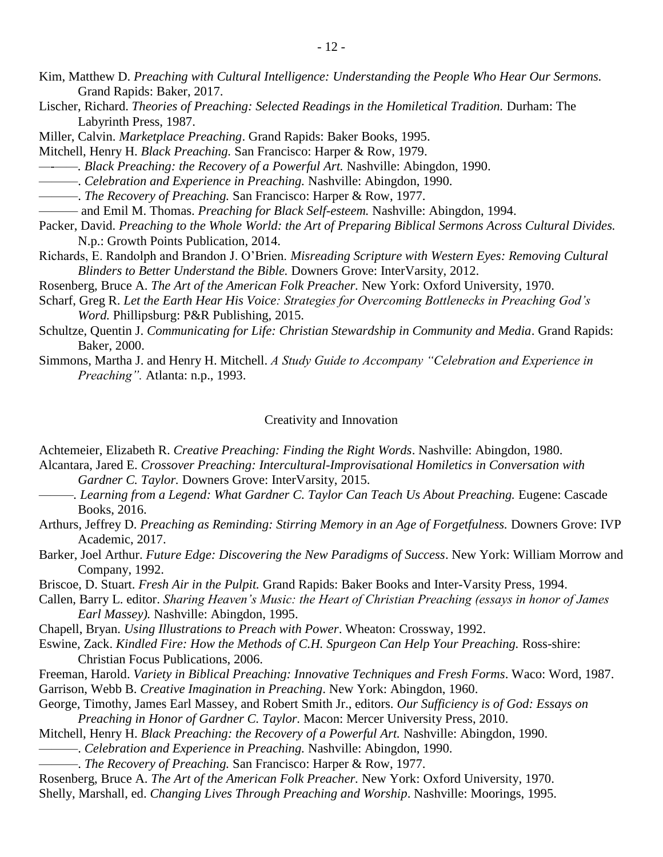- Kim, Matthew D. *Preaching with Cultural Intelligence: Understanding the People Who Hear Our Sermons.*  Grand Rapids: Baker, 2017.
- Lischer, Richard. *Theories of Preaching: Selected Readings in the Homiletical Tradition.* Durham: The Labyrinth Press, 1987.
- Miller, Calvin. *Marketplace Preaching*. Grand Rapids: Baker Books, 1995.
- Mitchell, Henry H. *Black Preaching.* San Francisco: Harper & Row, 1979.
- *—-——. Black Preaching: the Recovery of a Powerful Art.* Nashville: Abingdon, 1990.
- ———. *Celebration and Experience in Preaching.* Nashville: Abingdon, 1990.
- ———. *The Recovery of Preaching.* San Francisco: Harper & Row, 1977.
- ——— and Emil M. Thomas. *Preaching for Black Self-esteem.* Nashville: Abingdon, 1994.
- Packer, David. *Preaching to the Whole World: the Art of Preparing Biblical Sermons Across Cultural Divides.*  N.p.: Growth Points Publication, 2014.
- Richards, E. Randolph and Brandon J. O'Brien. *Misreading Scripture with Western Eyes: Removing Cultural Blinders to Better Understand the Bible.* Downers Grove: InterVarsity, 2012.
- Rosenberg, Bruce A. *The Art of the American Folk Preacher.* New York: Oxford University, 1970.
- Scharf, Greg R. *Let the Earth Hear His Voice: Strategies for Overcoming Bottlenecks in Preaching God's Word.* Phillipsburg: P&R Publishing, 2015.
- Schultze, Quentin J. *Communicating for Life: Christian Stewardship in Community and Media*. Grand Rapids: Baker, 2000.
- Simmons, Martha J. and Henry H. Mitchell. *A Study Guide to Accompany "Celebration and Experience in Preaching".* Atlanta: n.p., 1993.

#### Creativity and Innovation

Achtemeier, Elizabeth R. *Creative Preaching: Finding the Right Words*. Nashville: Abingdon, 1980.

- Alcantara, Jared E. *Crossover Preaching: Intercultural-Improvisational Homiletics in Conversation with Gardner C. Taylor.* Downers Grove: InterVarsity, 2015.
- *———. Learning from a Legend: What Gardner C. Taylor Can Teach Us About Preaching.* Eugene: Cascade Books, 2016.
- Arthurs, Jeffrey D. *Preaching as Reminding: Stirring Memory in an Age of Forgetfulness.* Downers Grove: IVP Academic, 2017.
- Barker, Joel Arthur. *Future Edge: Discovering the New Paradigms of Success*. New York: William Morrow and Company, 1992.
- Briscoe, D. Stuart. *Fresh Air in the Pulpit.* Grand Rapids: Baker Books and Inter-Varsity Press, 1994.
- Callen, Barry L. editor. *Sharing Heaven's Music: the Heart of Christian Preaching (essays in honor of James Earl Massey).* Nashville: Abingdon, 1995.
- Chapell, Bryan. *Using Illustrations to Preach with Power*. Wheaton: Crossway, 1992.
- Eswine, Zack. *Kindled Fire: How the Methods of C.H. Spurgeon Can Help Your Preaching.* Ross-shire: Christian Focus Publications, 2006.
- Freeman, Harold. *Variety in Biblical Preaching: Innovative Techniques and Fresh Forms*. Waco: Word, 1987.
- Garrison, Webb B. *Creative Imagination in Preaching*. New York: Abingdon, 1960.
- George, Timothy, James Earl Massey, and Robert Smith Jr., editors. *Our Sufficiency is of God: Essays on Preaching in Honor of Gardner C. Taylor.* Macon: Mercer University Press, 2010.
- Mitchell, Henry H. *Black Preaching: the Recovery of a Powerful Art.* Nashville: Abingdon, 1990.
- ———. *Celebration and Experience in Preaching.* Nashville: Abingdon, 1990.
- ———. *The Recovery of Preaching.* San Francisco: Harper & Row, 1977.
- Rosenberg, Bruce A. *The Art of the American Folk Preacher.* New York: Oxford University, 1970.
- Shelly, Marshall, ed. *Changing Lives Through Preaching and Worship*. Nashville: Moorings, 1995.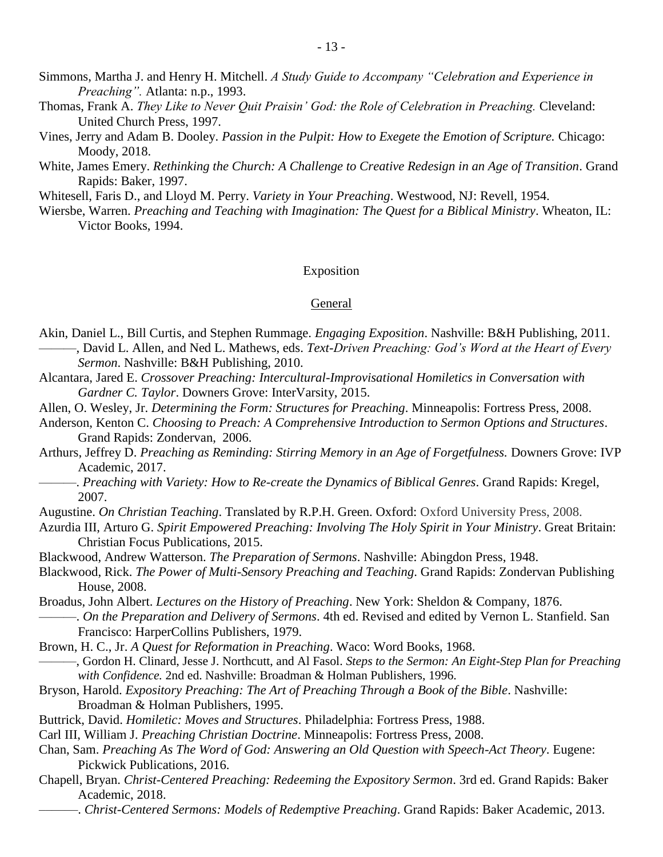- Simmons, Martha J. and Henry H. Mitchell. *A Study Guide to Accompany "Celebration and Experience in Preaching".* Atlanta: n.p., 1993.
- Thomas, Frank A. *They Like to Never Quit Praisin' God: the Role of Celebration in Preaching.* Cleveland: United Church Press, 1997.
- Vines, Jerry and Adam B. Dooley. *Passion in the Pulpit: How to Exegete the Emotion of Scripture.* Chicago: Moody, 2018.
- White, James Emery. *Rethinking the Church: A Challenge to Creative Redesign in an Age of Transition*. Grand Rapids: Baker, 1997.

Whitesell, Faris D., and Lloyd M. Perry. *Variety in Your Preaching*. Westwood, NJ: Revell, 1954.

Wiersbe, Warren. *Preaching and Teaching with Imagination: The Quest for a Biblical Ministry*. Wheaton, IL: Victor Books, 1994.

### Exposition

### General

- Akin, Daniel L., Bill Curtis, and Stephen Rummage. *Engaging Exposition*. Nashville: B&H Publishing, 2011. ———, David L. Allen, and Ned L. Mathews, eds. *Text-Driven Preaching: God's Word at the Heart of Every Sermon*. Nashville: B&H Publishing, 2010.
- Alcantara, Jared E. *Crossover Preaching: Intercultural-Improvisational Homiletics in Conversation with Gardner C. Taylor*. Downers Grove: InterVarsity, 2015.
- Allen, O. Wesley, Jr. *Determining the Form: Structures for Preaching*. Minneapolis: Fortress Press, 2008.
- Anderson, Kenton C. *Choosing to Preach: A Comprehensive Introduction to Sermon Options and Structures*. Grand Rapids: Zondervan, 2006.
- Arthurs, Jeffrey D. *Preaching as Reminding: Stirring Memory in an Age of Forgetfulness.* Downers Grove: IVP Academic, 2017.
- ———. *Preaching with Variety: How to Re-create the Dynamics of Biblical Genres*. Grand Rapids: Kregel, 2007.
- Augustine. *On Christian Teaching*. Translated by R.P.H. Green. Oxford: Oxford University Press, 2008.
- Azurdia III, Arturo G. *Spirit Empowered Preaching: Involving The Holy Spirit in Your Ministry*. Great Britain: Christian Focus Publications, 2015.
- Blackwood, Andrew Watterson. *The Preparation of Sermons*. Nashville: Abingdon Press, 1948.
- Blackwood, Rick. *The Power of Multi-Sensory Preaching and Teaching*. Grand Rapids: Zondervan Publishing House, 2008.
- Broadus, John Albert. *Lectures on the History of Preaching*. New York: Sheldon & Company, 1876. ———. *On the Preparation and Delivery of Sermons*. 4th ed. Revised and edited by Vernon L. Stanfield. San Francisco: HarperCollins Publishers, 1979.
- Brown, H. C., Jr. *A Quest for Reformation in Preaching*. Waco: Word Books, 1968.
- ———, Gordon H. Clinard, Jesse J. Northcutt, and Al Fasol. *Steps to the Sermon: An Eight-Step Plan for Preaching with Confidence.* 2nd ed. Nashville: Broadman & Holman Publishers, 1996.
- Bryson, Harold. *Expository Preaching: The Art of Preaching Through a Book of the Bible*. Nashville: Broadman & Holman Publishers, 1995.
- Buttrick, David. *Homiletic: Moves and Structures*. Philadelphia: Fortress Press, 1988.
- Carl III, William J. *Preaching Christian Doctrine*. Minneapolis: Fortress Press, 2008.
- Chan, Sam. *Preaching As The Word of God: Answering an Old Question with Speech-Act Theory*. Eugene: Pickwick Publications, 2016.
- Chapell, Bryan. *Christ-Centered Preaching: Redeeming the Expository Sermon*. 3rd ed. Grand Rapids: Baker Academic, 2018.
	- ––––––. *Christ-Centered Sermons: Models of Redemptive Preaching*. Grand Rapids: Baker Academic, 2013.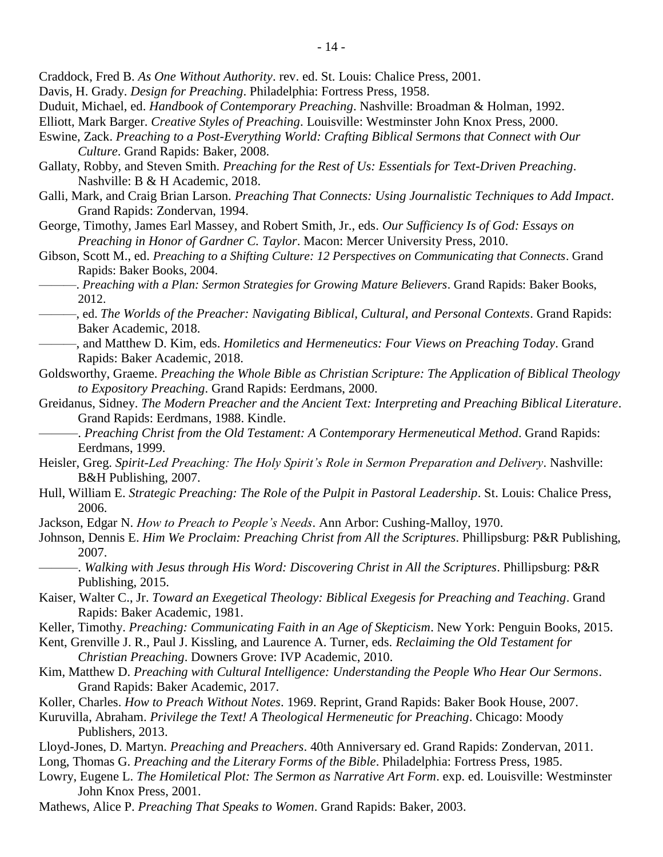Craddock, Fred B. *As One Without Authority*. rev. ed. St. Louis: Chalice Press, 2001.

- Davis, H. Grady. *Design for Preaching*. Philadelphia: Fortress Press, 1958.
- Duduit, Michael, ed. *Handbook of Contemporary Preaching*. Nashville: Broadman & Holman, 1992.
- Elliott, Mark Barger. *Creative Styles of Preaching*. Louisville: Westminster John Knox Press, 2000.
- Eswine, Zack. *Preaching to a Post-Everything World: Crafting Biblical Sermons that Connect with Our Culture*. Grand Rapids: Baker, 2008.
- Gallaty, Robby, and Steven Smith. *Preaching for the Rest of Us: Essentials for Text-Driven Preaching*. Nashville: B & H Academic, 2018.
- Galli, Mark, and Craig Brian Larson. *Preaching That Connects: Using Journalistic Techniques to Add Impact*. Grand Rapids: Zondervan, 1994.
- George, Timothy, James Earl Massey, and Robert Smith, Jr., eds. *Our Sufficiency Is of God: Essays on Preaching in Honor of Gardner C. Taylor*. Macon: Mercer University Press, 2010.
- Gibson, Scott M., ed. *Preaching to a Shifting Culture: 12 Perspectives on Communicating that Connects*. Grand Rapids: Baker Books, 2004.
- ———. *Preaching with a Plan: Sermon Strategies for Growing Mature Believers*. Grand Rapids: Baker Books, 2012.
- ———, ed. *The Worlds of the Preacher: Navigating Biblical, Cultural, and Personal Contexts*. Grand Rapids: Baker Academic, 2018.
- ———, and Matthew D. Kim, eds. *Homiletics and Hermeneutics: Four Views on Preaching Today*. Grand Rapids: Baker Academic, 2018.
- Goldsworthy, Graeme. *Preaching the Whole Bible as Christian Scripture: The Application of Biblical Theology to Expository Preaching*. Grand Rapids: Eerdmans, 2000.
- Greidanus, Sidney. *The Modern Preacher and the Ancient Text: Interpreting and Preaching Biblical Literature*. Grand Rapids: Eerdmans, 1988. Kindle.
- ———. *Preaching Christ from the Old Testament: A Contemporary Hermeneutical Method*. Grand Rapids: Eerdmans, 1999.
- Heisler, Greg. *Spirit-Led Preaching: The Holy Spirit's Role in Sermon Preparation and Delivery*. Nashville: B&H Publishing, 2007.
- Hull, William E. *Strategic Preaching: The Role of the Pulpit in Pastoral Leadership*. St. Louis: Chalice Press, 2006.
- Jackson, Edgar N. *How to Preach to People's Needs*. Ann Arbor: Cushing-Malloy, 1970.
- Johnson, Dennis E. *Him We Proclaim: Preaching Christ from All the Scriptures*. Phillipsburg: P&R Publishing, 2007.
	- ———. *Walking with Jesus through His Word: Discovering Christ in All the Scriptures*. Phillipsburg: P&R Publishing, 2015.
- Kaiser, Walter C., Jr. *Toward an Exegetical Theology: Biblical Exegesis for Preaching and Teaching*. Grand Rapids: Baker Academic, 1981.
- Keller, Timothy. *Preaching: Communicating Faith in an Age of Skepticism*. New York: Penguin Books, 2015.
- Kent, Grenville J. R., Paul J. Kissling, and Laurence A. Turner, eds. *Reclaiming the Old Testament for Christian Preaching*. Downers Grove: IVP Academic, 2010.
- Kim, Matthew D. *Preaching with Cultural Intelligence: Understanding the People Who Hear Our Sermons*. Grand Rapids: Baker Academic, 2017.
- Koller, Charles. *How to Preach Without Notes*. 1969. Reprint, Grand Rapids: Baker Book House, 2007.
- Kuruvilla, Abraham. *Privilege the Text! A Theological Hermeneutic for Preaching*. Chicago: Moody Publishers, 2013.
- Lloyd-Jones, D. Martyn. *Preaching and Preachers*. 40th Anniversary ed. Grand Rapids: Zondervan, 2011.
- Long, Thomas G. *Preaching and the Literary Forms of the Bible*. Philadelphia: Fortress Press, 1985.
- Lowry, Eugene L. *The Homiletical Plot: The Sermon as Narrative Art Form*. exp. ed. Louisville: Westminster John Knox Press, 2001.
- Mathews, Alice P. *Preaching That Speaks to Women*. Grand Rapids: Baker, 2003.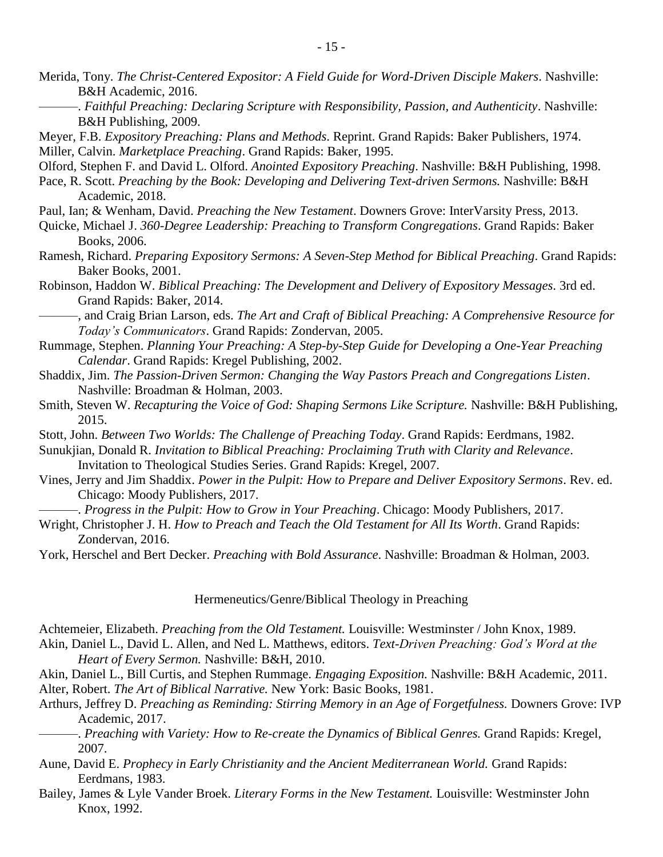- Merida, Tony. *The Christ-Centered Expositor: A Field Guide for Word-Driven Disciple Makers*. Nashville: B&H Academic, 2016.
- ———. *Faithful Preaching: Declaring Scripture with Responsibility, Passion, and Authenticity*. Nashville: B&H Publishing, 2009.
- Meyer, F.B. *Expository Preaching: Plans and Methods*. Reprint. Grand Rapids: Baker Publishers, 1974.
- Miller, Calvin. *Marketplace Preaching*. Grand Rapids: Baker, 1995.

Olford, Stephen F. and David L. Olford. *Anointed Expository Preaching*. Nashville: B&H Publishing, 1998.

- Pace, R. Scott. *Preaching by the Book: Developing and Delivering Text-driven Sermons.* Nashville: B&H Academic, 2018.
- Paul, Ian; & Wenham, David. *Preaching the New Testament*. Downers Grove: InterVarsity Press, 2013.
- Quicke, Michael J. *360-Degree Leadership: Preaching to Transform Congregations*. Grand Rapids: Baker Books, 2006.
- Ramesh, Richard. *Preparing Expository Sermons: A Seven-Step Method for Biblical Preaching*. Grand Rapids: Baker Books, 2001.
- Robinson, Haddon W. *Biblical Preaching: The Development and Delivery of Expository Messages*. 3rd ed. Grand Rapids: Baker, 2014.
	- ———, and Craig Brian Larson, eds. *The Art and Craft of Biblical Preaching: A Comprehensive Resource for Today's Communicators*. Grand Rapids: Zondervan, 2005.
- Rummage, Stephen. *Planning Your Preaching: A Step-by-Step Guide for Developing a One-Year Preaching Calendar*. Grand Rapids: Kregel Publishing, 2002.
- Shaddix, Jim. *The Passion-Driven Sermon: Changing the Way Pastors Preach and Congregations Listen*. Nashville: Broadman & Holman, 2003.
- Smith, Steven W. *Recapturing the Voice of God: Shaping Sermons Like Scripture*. Nashville: B&H Publishing, 2015.
- Stott, John. *Between Two Worlds: The Challenge of Preaching Today*. Grand Rapids: Eerdmans, 1982.
- Sunukjian, Donald R. *Invitation to Biblical Preaching: Proclaiming Truth with Clarity and Relevance*. Invitation to Theological Studies Series. Grand Rapids: Kregel, 2007.
- Vines, Jerry and Jim Shaddix. *Power in the Pulpit: How to Prepare and Deliver Expository Sermons*. Rev. ed. Chicago: Moody Publishers, 2017.
	- ———. *Progress in the Pulpit: How to Grow in Your Preaching*. Chicago: Moody Publishers, 2017.
- Wright, Christopher J. H. *How to Preach and Teach the Old Testament for All Its Worth*. Grand Rapids: Zondervan, 2016.
- York, Herschel and Bert Decker. *Preaching with Bold Assurance*. Nashville: Broadman & Holman, 2003.

### Hermeneutics/Genre/Biblical Theology in Preaching

Achtemeier, Elizabeth. *Preaching from the Old Testament.* Louisville: Westminster / John Knox, 1989. Akin, Daniel L., David L. Allen, and Ned L. Matthews, editors. *Text-Driven Preaching: God's Word at the* 

- *Heart of Every Sermon.* Nashville: B&H, 2010.
- Akin, Daniel L., Bill Curtis, and Stephen Rummage. *Engaging Exposition.* Nashville: B&H Academic, 2011. Alter, Robert. *The Art of Biblical Narrative.* New York: Basic Books, 1981.
- Arthurs, Jeffrey D. *Preaching as Reminding: Stirring Memory in an Age of Forgetfulness.* Downers Grove: IVP Academic, 2017.
- ———. *Preaching with Variety: How to Re-create the Dynamics of Biblical Genres.* Grand Rapids: Kregel, 2007.
- Aune, David E. *Prophecy in Early Christianity and the Ancient Mediterranean World.* Grand Rapids: Eerdmans, 1983.
- Bailey, James & Lyle Vander Broek. *Literary Forms in the New Testament.* Louisville: Westminster John Knox, 1992.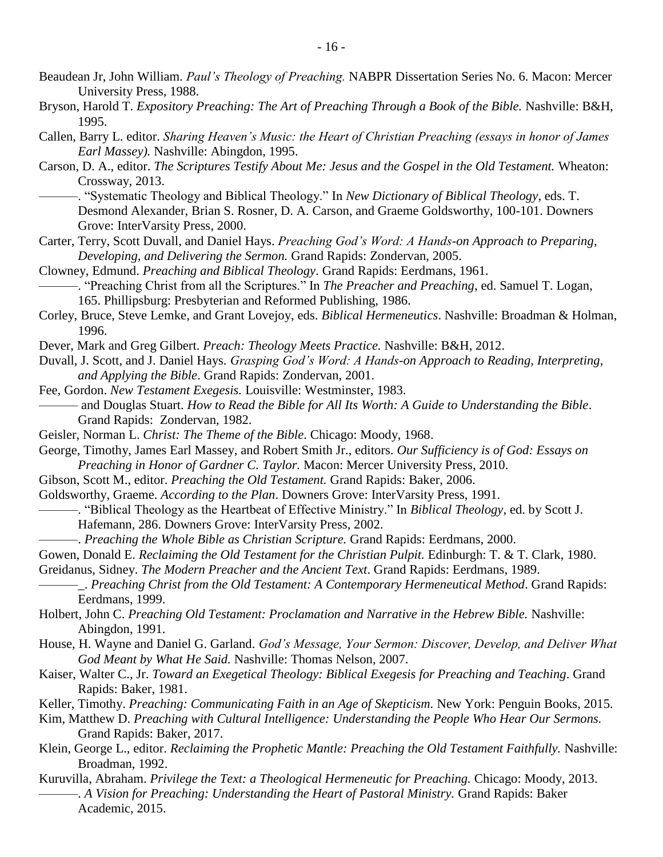- Beaudean Jr, John William. *Paul's Theology of Preaching.* NABPR Dissertation Series No. 6. Macon: Mercer University Press, 1988.
- Bryson, Harold T. *Expository Preaching: The Art of Preaching Through a Book of the Bible*. Nashville: B&H, 1995.
- Callen, Barry L. editor. *Sharing Heaven's Music: the Heart of Christian Preaching (essays in honor of James Earl Massey).* Nashville: Abingdon, 1995.
- Carson, D. A., editor. *The Scriptures Testify About Me: Jesus and the Gospel in the Old Testament.* Wheaton: Crossway, 2013.
	- ———. "Systematic Theology and Biblical Theology." In *New Dictionary of Biblical Theology*, eds. T. Desmond Alexander, Brian S. Rosner, D. A. Carson, and Graeme Goldsworthy, 100-101. Downers Grove: InterVarsity Press, 2000.
- Carter, Terry, Scott Duvall, and Daniel Hays. *Preaching God's Word: A Hands-on Approach to Preparing, Developing, and Delivering the Sermon.* Grand Rapids: Zondervan, 2005.
- Clowney, Edmund. *Preaching and Biblical Theology*. Grand Rapids: Eerdmans, 1961.
- ———. "Preaching Christ from all the Scriptures." In *The Preacher and Preaching*, ed. Samuel T. Logan, 165. Phillipsburg: Presbyterian and Reformed Publishing, 1986.
- Corley, Bruce, Steve Lemke, and Grant Lovejoy, eds. *Biblical Hermeneutics*. Nashville: Broadman & Holman, 1996.
- Dever, Mark and Greg Gilbert. *Preach: Theology Meets Practice.* Nashville: B&H, 2012.
- Duvall, J. Scott, and J. Daniel Hays. *Grasping God's Word: A Hands-on Approach to Reading, Interpreting, and Applying the Bible*. Grand Rapids: Zondervan, 2001.
- Fee, Gordon. *New Testament Exegesis.* Louisville: Westminster, 1983. ——— and Douglas Stuart. *How to Read the Bible for All Its Worth: A Guide to Understanding the Bible*. Grand Rapids: Zondervan, 1982.
- Geisler, Norman L. *Christ: The Theme of the Bible*. Chicago: Moody, 1968.
- George, Timothy, James Earl Massey, and Robert Smith Jr., editors. *Our Sufficiency is of God: Essays on Preaching in Honor of Gardner C. Taylor.* Macon: Mercer University Press, 2010.
- Gibson, Scott M., editor. *Preaching the Old Testament.* Grand Rapids: Baker, 2006.
- Goldsworthy, Graeme. *According to the Plan*. Downers Grove: InterVarsity Press, 1991.
- ———. "Biblical Theology as the Heartbeat of Effective Ministry." In *Biblical Theology*, ed. by Scott J.
	- Hafemann, 286. Downers Grove: InterVarsity Press, 2002.
	- ———. *Preaching the Whole Bible as Christian Scripture.* Grand Rapids: Eerdmans, 2000.
- Gowen, Donald E. *Reclaiming the Old Testament for the Christian Pulpit*. Edinburgh: T. & T. Clark, 1980.
- Greidanus, Sidney. *The Modern Preacher and the Ancient Text*. Grand Rapids: Eerdmans, 1989.
	- ———\_. *Preaching Christ from the Old Testament: A Contemporary Hermeneutical Method*. Grand Rapids: Eerdmans, 1999.
- Holbert, John C. *Preaching Old Testament: Proclamation and Narrative in the Hebrew Bible.* Nashville: Abingdon, 1991.
- House, H. Wayne and Daniel G. Garland. *God's Message, Your Sermon: Discover, Develop, and Deliver What God Meant by What He Said.* Nashville: Thomas Nelson, 2007.
- Kaiser, Walter C., Jr. *Toward an Exegetical Theology: Biblical Exegesis for Preaching and Teaching*. Grand Rapids: Baker, 1981.
- Keller, Timothy. *Preaching: Communicating Faith in an Age of Skepticism.* New York: Penguin Books, 2015.
- Kim, Matthew D. *Preaching with Cultural Intelligence: Understanding the People Who Hear Our Sermons.*  Grand Rapids: Baker, 2017.
- Klein, George L., editor. *Reclaiming the Prophetic Mantle: Preaching the Old Testament Faithfully.* Nashville: Broadman, 1992.
- Kuruvilla, Abraham. *Privilege the Text: a Theological Hermeneutic for Preaching.* Chicago: Moody, 2013. ———. *A Vision for Preaching: Understanding the Heart of Pastoral Ministry.* Grand Rapids: Baker Academic, 2015.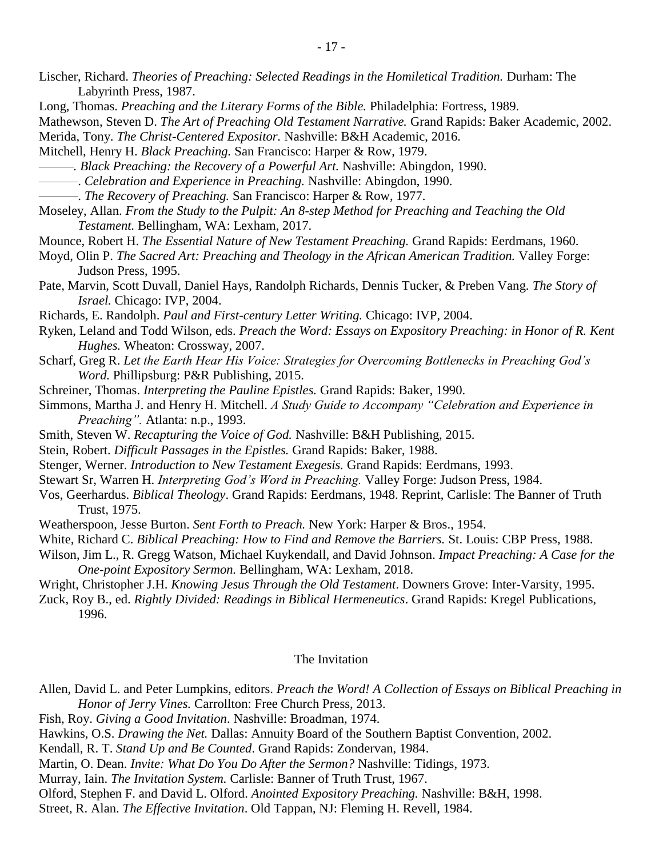- Lischer, Richard. *Theories of Preaching: Selected Readings in the Homiletical Tradition.* Durham: The Labyrinth Press, 1987.
- Long, Thomas. *Preaching and the Literary Forms of the Bible.* Philadelphia: Fortress, 1989.
- Mathewson, Steven D. *The Art of Preaching Old Testament Narrative.* Grand Rapids: Baker Academic, 2002. Merida, Tony. *The Christ-Centered Expositor.* Nashville: B&H Academic, 2016.
- Mitchell, Henry H. *Black Preaching.* San Francisco: Harper & Row, 1979.
- *———. Black Preaching: the Recovery of a Powerful Art.* Nashville: Abingdon, 1990.
- ———. *Celebration and Experience in Preaching.* Nashville: Abingdon, 1990.
- ———. *The Recovery of Preaching.* San Francisco: Harper & Row, 1977.
- Moseley, Allan. *From the Study to the Pulpit: An 8-step Method for Preaching and Teaching the Old Testament.* Bellingham, WA: Lexham, 2017.
- Mounce, Robert H. *The Essential Nature of New Testament Preaching.* Grand Rapids: Eerdmans, 1960.
- Moyd, Olin P. *The Sacred Art: Preaching and Theology in the African American Tradition.* Valley Forge: Judson Press, 1995.
- Pate, Marvin, Scott Duvall, Daniel Hays, Randolph Richards, Dennis Tucker, & Preben Vang. *The Story of Israel.* Chicago: IVP, 2004.
- Richards, E. Randolph. *Paul and First-century Letter Writing.* Chicago: IVP, 2004.
- Ryken, Leland and Todd Wilson, eds. *Preach the Word: Essays on Expository Preaching: in Honor of R. Kent Hughes.* Wheaton: Crossway, 2007.
- Scharf, Greg R. *Let the Earth Hear His Voice: Strategies for Overcoming Bottlenecks in Preaching God's Word.* Phillipsburg: P&R Publishing, 2015.
- Schreiner, Thomas. *Interpreting the Pauline Epistles.* Grand Rapids: Baker, 1990.
- Simmons, Martha J. and Henry H. Mitchell. *A Study Guide to Accompany "Celebration and Experience in Preaching".* Atlanta: n.p., 1993.
- Smith, Steven W. *Recapturing the Voice of God.* Nashville: B&H Publishing, 2015.
- Stein, Robert. *Difficult Passages in the Epistles.* Grand Rapids: Baker, 1988.
- Stenger, Werner. *Introduction to New Testament Exegesis.* Grand Rapids: Eerdmans, 1993.
- Stewart Sr, Warren H. *Interpreting God's Word in Preaching.* Valley Forge: Judson Press, 1984.
- Vos, Geerhardus. *Biblical Theology*. Grand Rapids: Eerdmans, 1948. Reprint, Carlisle: The Banner of Truth Trust, 1975.
- Weatherspoon, Jesse Burton. *Sent Forth to Preach.* New York: Harper & Bros., 1954.
- White, Richard C. *Biblical Preaching: How to Find and Remove the Barriers.* St. Louis: CBP Press, 1988.
- Wilson, Jim L., R. Gregg Watson, Michael Kuykendall, and David Johnson. *Impact Preaching: A Case for the One-point Expository Sermon.* Bellingham, WA: Lexham, 2018.
- Wright, Christopher J.H. *Knowing Jesus Through the Old Testament*. Downers Grove: Inter-Varsity, 1995.
- Zuck, Roy B., ed. *Rightly Divided: Readings in Biblical Hermeneutics*. Grand Rapids: Kregel Publications, 1996.

### The Invitation

- Allen, David L. and Peter Lumpkins, editors. *Preach the Word! A Collection of Essays on Biblical Preaching in Honor of Jerry Vines.* Carrollton: Free Church Press, 2013.
- Fish, Roy. *Giving a Good Invitation*. Nashville: Broadman, 1974.
- Hawkins, O.S. *Drawing the Net.* Dallas: Annuity Board of the Southern Baptist Convention, 2002.
- Kendall, R. T. *Stand Up and Be Counted*. Grand Rapids: Zondervan, 1984.
- Martin, O. Dean. *Invite: What Do You Do After the Sermon?* Nashville: Tidings, 1973.
- Murray, Iain. *The Invitation System.* Carlisle: Banner of Truth Trust, 1967.
- Olford, Stephen F. and David L. Olford. *Anointed Expository Preaching.* Nashville: B&H, 1998.
- Street, R. Alan. *The Effective Invitation*. Old Tappan, NJ: Fleming H. Revell, 1984.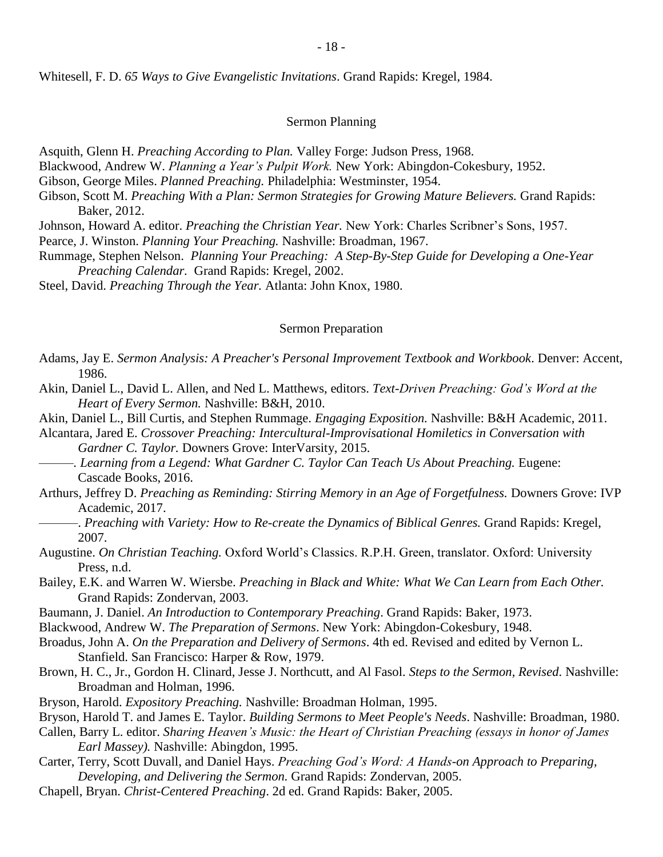Whitesell, F. D. *65 Ways to Give Evangelistic Invitations*. Grand Rapids: Kregel, 1984.

### Sermon Planning

Asquith, Glenn H. *Preaching According to Plan.* Valley Forge: Judson Press, 1968.

Blackwood, Andrew W. *Planning a Year's Pulpit Work.* New York: Abingdon-Cokesbury, 1952.

Gibson, George Miles. *Planned Preaching.* Philadelphia: Westminster, 1954.

Gibson, Scott M. *Preaching With a Plan: Sermon Strategies for Growing Mature Believers.* Grand Rapids: Baker, 2012.

Johnson, Howard A. editor. *Preaching the Christian Year.* New York: Charles Scribner's Sons, 1957.

Pearce, J. Winston. *Planning Your Preaching.* Nashville: Broadman, 1967.

Rummage, Stephen Nelson. *Planning Your Preaching: A Step-By-Step Guide for Developing a One-Year Preaching Calendar.* Grand Rapids: Kregel, 2002.

Steel, David. *Preaching Through the Year.* Atlanta: John Knox, 1980.

### Sermon Preparation

- Adams, Jay E. *Sermon Analysis: A Preacher's Personal Improvement Textbook and Workbook*. Denver: Accent, 1986.
- Akin, Daniel L., David L. Allen, and Ned L. Matthews, editors. *Text-Driven Preaching: God's Word at the Heart of Every Sermon.* Nashville: B&H, 2010.

Akin, Daniel L., Bill Curtis, and Stephen Rummage. *Engaging Exposition.* Nashville: B&H Academic, 2011.

Alcantara, Jared E. *Crossover Preaching: Intercultural-Improvisational Homiletics in Conversation with Gardner C. Taylor.* Downers Grove: InterVarsity, 2015.

*———. Learning from a Legend: What Gardner C. Taylor Can Teach Us About Preaching.* Eugene: Cascade Books, 2016.

- Arthurs, Jeffrey D. *Preaching as Reminding: Stirring Memory in an Age of Forgetfulness.* Downers Grove: IVP Academic, 2017.
- ———. *Preaching with Variety: How to Re-create the Dynamics of Biblical Genres.* Grand Rapids: Kregel, 2007.
- Augustine. *On Christian Teaching.* Oxford World's Classics. R.P.H. Green, translator. Oxford: University Press, n.d.
- Bailey, E.K. and Warren W. Wiersbe. *Preaching in Black and White: What We Can Learn from Each Other.* Grand Rapids: Zondervan, 2003.
- Baumann, J. Daniel. *An Introduction to Contemporary Preaching*. Grand Rapids: Baker, 1973.
- Blackwood, Andrew W. *The Preparation of Sermons*. New York: Abingdon-Cokesbury, 1948.
- Broadus, John A. *On the Preparation and Delivery of Sermons*. 4th ed. Revised and edited by Vernon L. Stanfield. San Francisco: Harper & Row, 1979.
- Brown, H. C., Jr., Gordon H. Clinard, Jesse J. Northcutt, and Al Fasol. *Steps to the Sermon, Revised*. Nashville: Broadman and Holman, 1996.
- Bryson, Harold. *Expository Preaching.* Nashville: Broadman Holman, 1995.

Bryson, Harold T. and James E. Taylor. *Building Sermons to Meet People's Needs*. Nashville: Broadman, 1980.

- Callen, Barry L. editor. *Sharing Heaven's Music: the Heart of Christian Preaching (essays in honor of James Earl Massey).* Nashville: Abingdon, 1995.
- Carter, Terry, Scott Duvall, and Daniel Hays. *Preaching God's Word: A Hands-on Approach to Preparing, Developing, and Delivering the Sermon.* Grand Rapids: Zondervan, 2005.
- Chapell, Bryan. *Christ-Centered Preaching*. 2d ed. Grand Rapids: Baker, 2005.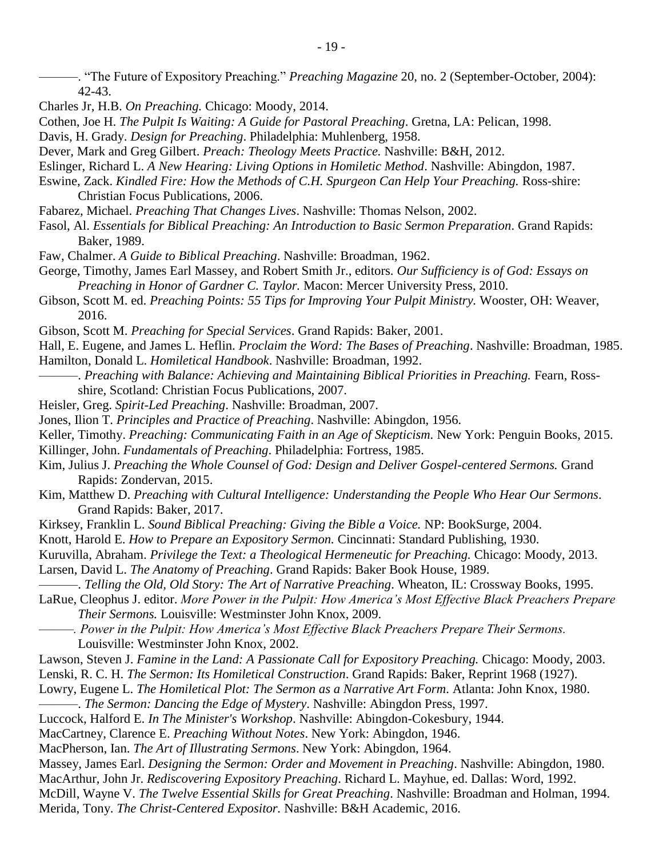- ———. "The Future of Expository Preaching." *Preaching Magazine* 20, no. 2 (September-October, 2004): 42-43.
- Charles Jr, H.B. *On Preaching.* Chicago: Moody, 2014.
- Cothen, Joe H. *The Pulpit Is Waiting: A Guide for Pastoral Preaching*. Gretna, LA: Pelican, 1998.
- Davis, H. Grady. *Design for Preaching*. Philadelphia: Muhlenberg, 1958.
- Dever, Mark and Greg Gilbert. *Preach: Theology Meets Practice.* Nashville: B&H, 2012.
- Eslinger, Richard L. *A New Hearing: Living Options in Homiletic Method*. Nashville: Abingdon, 1987.
- Eswine, Zack. *Kindled Fire: How the Methods of C.H. Spurgeon Can Help Your Preaching.* Ross-shire: Christian Focus Publications, 2006.
- Fabarez, Michael. *Preaching That Changes Lives*. Nashville: Thomas Nelson, 2002.
- Fasol, Al. *Essentials for Biblical Preaching: An Introduction to Basic Sermon Preparation*. Grand Rapids: Baker, 1989.
- Faw, Chalmer. *A Guide to Biblical Preaching*. Nashville: Broadman, 1962.
- George, Timothy, James Earl Massey, and Robert Smith Jr., editors. *Our Sufficiency is of God: Essays on Preaching in Honor of Gardner C. Taylor.* Macon: Mercer University Press, 2010.
- Gibson, Scott M. ed. *Preaching Points: 55 Tips for Improving Your Pulpit Ministry.* Wooster, OH: Weaver, 2016.
- Gibson, Scott M. *Preaching for Special Services*. Grand Rapids: Baker, 2001.
- Hall, E. Eugene, and James L. Heflin. *Proclaim the Word: The Bases of Preaching*. Nashville: Broadman, 1985. Hamilton, Donald L. *Homiletical Handbook*. Nashville: Broadman, 1992.
- ———. *Preaching with Balance: Achieving and Maintaining Biblical Priorities in Preaching.* Fearn, Rossshire, Scotland: Christian Focus Publications, 2007.
- Heisler, Greg. *Spirit-Led Preaching*. Nashville: Broadman, 2007.
- Jones, Ilion T. *Principles and Practice of Preaching*. Nashville: Abingdon, 1956.
- Keller, Timothy. *Preaching: Communicating Faith in an Age of Skepticism.* New York: Penguin Books, 2015.
- Killinger, John. *Fundamentals of Preaching*. Philadelphia: Fortress, 1985.
- Kim, Julius J. *Preaching the Whole Counsel of God: Design and Deliver Gospel-centered Sermons.* Grand Rapids: Zondervan, 2015.
- Kim, Matthew D. *Preaching with Cultural Intelligence: Understanding the People Who Hear Our Sermons.*  Grand Rapids: Baker, 2017.
- Kirksey, Franklin L. *Sound Biblical Preaching: Giving the Bible a Voice.* NP: BookSurge, 2004.
- Knott, Harold E. *How to Prepare an Expository Sermon.* Cincinnati: Standard Publishing, 1930.
- Kuruvilla, Abraham. *Privilege the Text: a Theological Hermeneutic for Preaching.* Chicago: Moody, 2013.
- Larsen, David L. *The Anatomy of Preaching*. Grand Rapids: Baker Book House, 1989.
- ———. *Telling the Old, Old Story: The Art of Narrative Preaching*. Wheaton, IL: Crossway Books, 1995.
- LaRue, Cleophus J. editor. *More Power in the Pulpit: How America's Most Effective Black Preachers Prepare Their Sermons.* Louisville: Westminster John Knox, 2009.
	- *———. Power in the Pulpit: How America's Most Effective Black Preachers Prepare Their Sermons.*  Louisville: Westminster John Knox, 2002.
- Lawson, Steven J. *Famine in the Land: A Passionate Call for Expository Preaching. Chicago: Moody, 2003.*
- Lenski, R. C. H. *The Sermon: Its Homiletical Construction*. Grand Rapids: Baker, Reprint 1968 (1927).
- Lowry, Eugene L. *The Homiletical Plot: The Sermon as a Narrative Art Form*. Atlanta: John Knox, 1980.
- ———. *The Sermon: Dancing the Edge of Mystery*. Nashville: Abingdon Press, 1997.
- Luccock, Halford E. *In The Minister's Workshop*. Nashville: Abingdon-Cokesbury, 1944.
- MacCartney, Clarence E. *Preaching Without Notes*. New York: Abingdon, 1946.
- MacPherson, Ian. *The Art of Illustrating Sermons*. New York: Abingdon, 1964.
- Massey, James Earl. *Designing the Sermon: Order and Movement in Preaching*. Nashville: Abingdon, 1980.
- MacArthur, John Jr. *Rediscovering Expository Preaching*. Richard L. Mayhue, ed. Dallas: Word, 1992.
- McDill, Wayne V. *The Twelve Essential Skills for Great Preaching*. Nashville: Broadman and Holman, 1994. Merida, Tony. *The Christ-Centered Expositor.* Nashville: B&H Academic, 2016.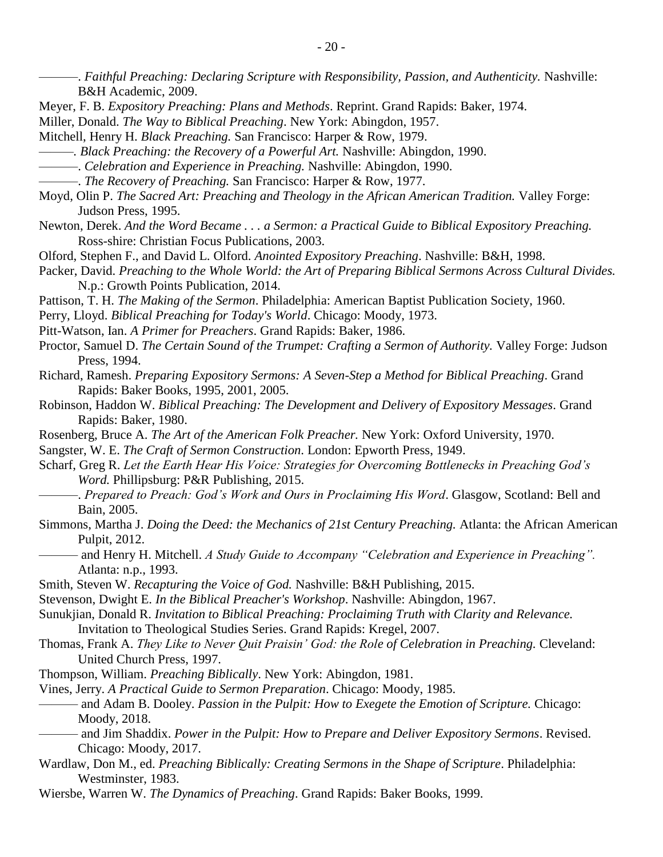- Meyer, F. B. *Expository Preaching: Plans and Methods*. Reprint. Grand Rapids: Baker, 1974.
- Miller, Donald. *The Way to Biblical Preaching*. New York: Abingdon, 1957.
- Mitchell, Henry H. *Black Preaching.* San Francisco: Harper & Row, 1979.
- *———. Black Preaching: the Recovery of a Powerful Art.* Nashville: Abingdon, 1990.
- ———. *Celebration and Experience in Preaching.* Nashville: Abingdon, 1990.
- ———. *The Recovery of Preaching.* San Francisco: Harper & Row, 1977.
- Moyd, Olin P. *The Sacred Art: Preaching and Theology in the African American Tradition.* Valley Forge: Judson Press, 1995.
- Newton, Derek. *And the Word Became . . . a Sermon: a Practical Guide to Biblical Expository Preaching.* Ross-shire: Christian Focus Publications, 2003.
- Olford, Stephen F., and David L. Olford. *Anointed Expository Preaching*. Nashville: B&H, 1998.
- Packer, David. *Preaching to the Whole World: the Art of Preparing Biblical Sermons Across Cultural Divides.*  N.p.: Growth Points Publication, 2014.
- Pattison, T. H. *The Making of the Sermon*. Philadelphia: American Baptist Publication Society, 1960.
- Perry, Lloyd. *Biblical Preaching for Today's World*. Chicago: Moody, 1973.
- Pitt-Watson, Ian. *A Primer for Preachers*. Grand Rapids: Baker, 1986.
- Proctor, Samuel D. *The Certain Sound of the Trumpet: Crafting a Sermon of Authority.* Valley Forge: Judson Press, 1994.
- Richard, Ramesh. *Preparing Expository Sermons: A Seven-Step a Method for Biblical Preaching*. Grand Rapids: Baker Books, 1995, 2001, 2005.
- Robinson, Haddon W. *Biblical Preaching: The Development and Delivery of Expository Messages*. Grand Rapids: Baker, 1980.
- Rosenberg, Bruce A. *The Art of the American Folk Preacher.* New York: Oxford University, 1970.
- Sangster, W. E. *The Craft of Sermon Construction*. London: Epworth Press, 1949.
- Scharf, Greg R. *Let the Earth Hear His Voice: Strategies for Overcoming Bottlenecks in Preaching God's Word.* Phillipsburg: P&R Publishing, 2015.
- ———. *Prepared to Preach: God's Work and Ours in Proclaiming His Word*. Glasgow, Scotland: Bell and Bain, 2005.
- Simmons, Martha J. *Doing the Deed: the Mechanics of 21st Century Preaching.* Atlanta: the African American Pulpit, 2012.
- ——— and Henry H. Mitchell. *A Study Guide to Accompany "Celebration and Experience in Preaching".* Atlanta: n.p., 1993.
- Smith, Steven W. *Recapturing the Voice of God.* Nashville: B&H Publishing, 2015.
- Stevenson, Dwight E. *In the Biblical Preacher's Workshop*. Nashville: Abingdon, 1967.
- Sunukjian, Donald R. *Invitation to Biblical Preaching: Proclaiming Truth with Clarity and Relevance.*  Invitation to Theological Studies Series. Grand Rapids: Kregel, 2007.
- Thomas, Frank A. *They Like to Never Quit Praisin' God: the Role of Celebration in Preaching.* Cleveland: United Church Press, 1997.
- Thompson, William. *Preaching Biblically*. New York: Abingdon, 1981.
- Vines, Jerry. *A Practical Guide to Sermon Preparation*. Chicago: Moody, 1985.
	- ——— and Adam B. Dooley. *Passion in the Pulpit: How to Exegete the Emotion of Scripture.* Chicago: Moody, 2018.
- ——— and Jim Shaddix. *Power in the Pulpit: How to Prepare and Deliver Expository Sermons*. Revised. Chicago: Moody, 2017.
- Wardlaw, Don M., ed. *Preaching Biblically: Creating Sermons in the Shape of Scripture*. Philadelphia: Westminster, 1983.
- Wiersbe, Warren W. *The Dynamics of Preaching*. Grand Rapids: Baker Books, 1999.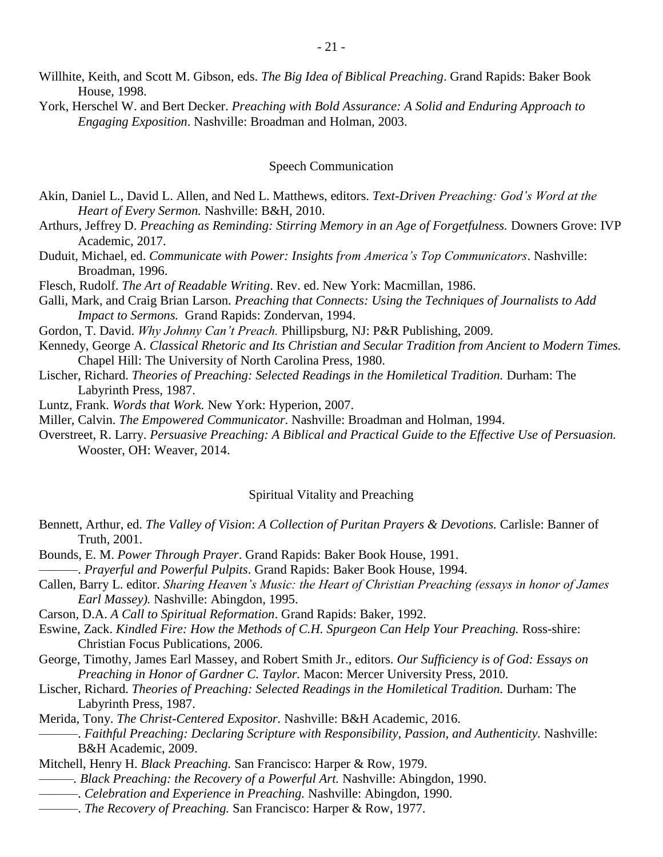- Willhite, Keith, and Scott M. Gibson, eds. *The Big Idea of Biblical Preaching*. Grand Rapids: Baker Book House, 1998.
- York, Herschel W. and Bert Decker. *Preaching with Bold Assurance: A Solid and Enduring Approach to Engaging Exposition*. Nashville: Broadman and Holman, 2003.

### Speech Communication

- Akin, Daniel L., David L. Allen, and Ned L. Matthews, editors. *Text-Driven Preaching: God's Word at the Heart of Every Sermon.* Nashville: B&H, 2010.
- Arthurs, Jeffrey D. *Preaching as Reminding: Stirring Memory in an Age of Forgetfulness.* Downers Grove: IVP Academic, 2017.
- Duduit, Michael, ed. *Communicate with Power: Insights from America's Top Communicators*. Nashville: Broadman, 1996.
- Flesch, Rudolf. *The Art of Readable Writing*. Rev. ed. New York: Macmillan, 1986.
- Galli, Mark, and Craig Brian Larson. *Preaching that Connects: Using the Techniques of Journalists to Add Impact to Sermons.* Grand Rapids: Zondervan, 1994.
- Gordon, T. David. *Why Johnny Can't Preach.* Phillipsburg, NJ: P&R Publishing, 2009.
- Kennedy, George A. *Classical Rhetoric and Its Christian and Secular Tradition from Ancient to Modern Times.*  Chapel Hill: The University of North Carolina Press, 1980.
- Lischer, Richard. *Theories of Preaching: Selected Readings in the Homiletical Tradition.* Durham: The Labyrinth Press, 1987.
- Luntz, Frank. *Words that Work.* New York: Hyperion, 2007.
- Miller, Calvin. *The Empowered Communicator*. Nashville: Broadman and Holman, 1994.
- Overstreet, R. Larry. *Persuasive Preaching: A Biblical and Practical Guide to the Effective Use of Persuasion.*  Wooster, OH: Weaver, 2014.

### Spiritual Vitality and Preaching

- Bennett, Arthur, ed. *The Valley of Vision*: *A Collection of Puritan Prayers & Devotions.* Carlisle: Banner of Truth, 2001.
- Bounds, E. M. *Power Through Prayer*. Grand Rapids: Baker Book House, 1991. ———. *Prayerful and Powerful Pulpits*. Grand Rapids: Baker Book House, 1994.
- 
- Callen, Barry L. editor. *Sharing Heaven's Music: the Heart of Christian Preaching (essays in honor of James Earl Massey).* Nashville: Abingdon, 1995.
- Carson, D.A. *A Call to Spiritual Reformation*. Grand Rapids: Baker, 1992.
- Eswine, Zack. *Kindled Fire: How the Methods of C.H. Spurgeon Can Help Your Preaching.* Ross-shire: Christian Focus Publications, 2006.
- George, Timothy, James Earl Massey, and Robert Smith Jr., editors. *Our Sufficiency is of God: Essays on Preaching in Honor of Gardner C. Taylor.* Macon: Mercer University Press, 2010.
- Lischer, Richard. *Theories of Preaching: Selected Readings in the Homiletical Tradition.* Durham: The Labyrinth Press, 1987.
- Merida, Tony. *The Christ-Centered Expositor.* Nashville: B&H Academic, 2016.
	- ———. *Faithful Preaching: Declaring Scripture with Responsibility, Passion, and Authenticity.* Nashville: B&H Academic, 2009.
- Mitchell, Henry H. *Black Preaching.* San Francisco: Harper & Row, 1979.
- *———. Black Preaching: the Recovery of a Powerful Art.* Nashville: Abingdon, 1990.
- ———. *Celebration and Experience in Preaching.* Nashville: Abingdon, 1990.
- ———. *The Recovery of Preaching.* San Francisco: Harper & Row, 1977.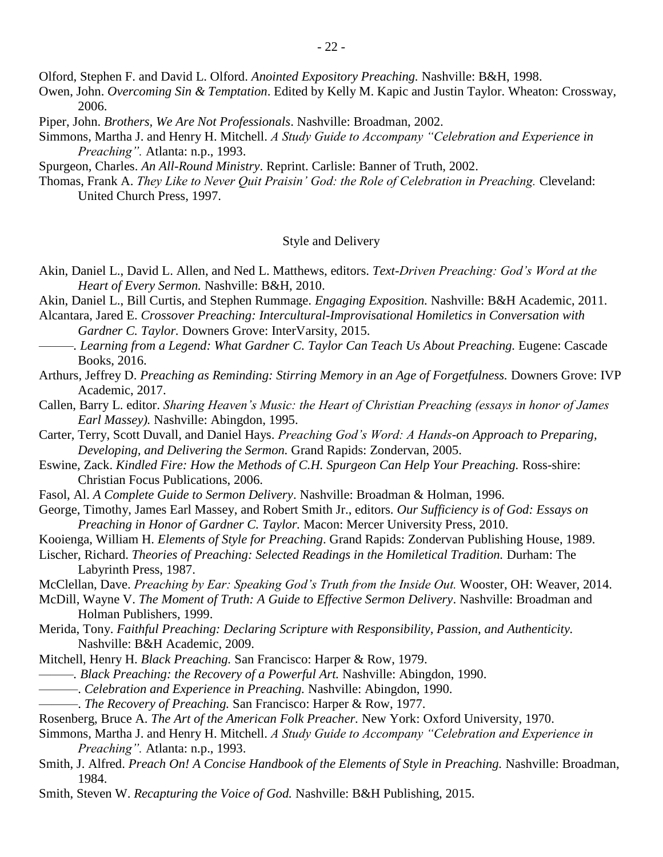Olford, Stephen F. and David L. Olford. *Anointed Expository Preaching.* Nashville: B&H, 1998.

- Owen, John. *Overcoming Sin & Temptation*. Edited by Kelly M. Kapic and Justin Taylor. Wheaton: Crossway, 2006.
- Piper, John. *Brothers, We Are Not Professionals*. Nashville: Broadman, 2002.
- Simmons, Martha J. and Henry H. Mitchell. *A Study Guide to Accompany "Celebration and Experience in Preaching".* Atlanta: n.p., 1993.

Spurgeon, Charles. *An All-Round Ministry*. Reprint. Carlisle: Banner of Truth, 2002.

Thomas, Frank A. *They Like to Never Quit Praisin' God: the Role of Celebration in Preaching.* Cleveland: United Church Press, 1997.

### Style and Delivery

- Akin, Daniel L., David L. Allen, and Ned L. Matthews, editors. *Text-Driven Preaching: God's Word at the Heart of Every Sermon.* Nashville: B&H, 2010.
- Akin, Daniel L., Bill Curtis, and Stephen Rummage. *Engaging Exposition.* Nashville: B&H Academic, 2011.
- Alcantara, Jared E. *Crossover Preaching: Intercultural-Improvisational Homiletics in Conversation with Gardner C. Taylor.* Downers Grove: InterVarsity, 2015.
- *———. Learning from a Legend: What Gardner C. Taylor Can Teach Us About Preaching.* Eugene: Cascade Books, 2016.
- Arthurs, Jeffrey D. *Preaching as Reminding: Stirring Memory in an Age of Forgetfulness.* Downers Grove: IVP Academic, 2017.
- Callen, Barry L. editor. *Sharing Heaven's Music: the Heart of Christian Preaching (essays in honor of James Earl Massey).* Nashville: Abingdon, 1995.

Carter, Terry, Scott Duvall, and Daniel Hays. *Preaching God's Word: A Hands-on Approach to Preparing, Developing, and Delivering the Sermon.* Grand Rapids: Zondervan, 2005.

- Eswine, Zack. *Kindled Fire: How the Methods of C.H. Spurgeon Can Help Your Preaching.* Ross-shire: Christian Focus Publications, 2006.
- Fasol, Al. *A Complete Guide to Sermon Delivery*. Nashville: Broadman & Holman, 1996.
- George, Timothy, James Earl Massey, and Robert Smith Jr., editors. *Our Sufficiency is of God: Essays on Preaching in Honor of Gardner C. Taylor.* Macon: Mercer University Press, 2010.
- Kooienga, William H. *Elements of Style for Preaching*. Grand Rapids: Zondervan Publishing House, 1989.
- Lischer, Richard. *Theories of Preaching: Selected Readings in the Homiletical Tradition.* Durham: The Labyrinth Press, 1987.
- McClellan, Dave. *Preaching by Ear: Speaking God's Truth from the Inside Out.* Wooster, OH: Weaver, 2014.
- McDill, Wayne V. *The Moment of Truth: A Guide to Effective Sermon Delivery*. Nashville: Broadman and Holman Publishers, 1999.

Merida, Tony. *Faithful Preaching: Declaring Scripture with Responsibility, Passion, and Authenticity.* Nashville: B&H Academic, 2009.

- Mitchell, Henry H. *Black Preaching.* San Francisco: Harper & Row, 1979.
- *———. Black Preaching: the Recovery of a Powerful Art.* Nashville: Abingdon, 1990.
- ———. *Celebration and Experience in Preaching.* Nashville: Abingdon, 1990.
- ———. *The Recovery of Preaching.* San Francisco: Harper & Row, 1977.
- Rosenberg, Bruce A. *The Art of the American Folk Preacher.* New York: Oxford University, 1970.
- Simmons, Martha J. and Henry H. Mitchell. *A Study Guide to Accompany "Celebration and Experience in Preaching".* Atlanta: n.p., 1993.
- Smith, J. Alfred. *Preach On! A Concise Handbook of the Elements of Style in Preaching.* Nashville: Broadman, 1984.
- Smith, Steven W. *Recapturing the Voice of God.* Nashville: B&H Publishing, 2015.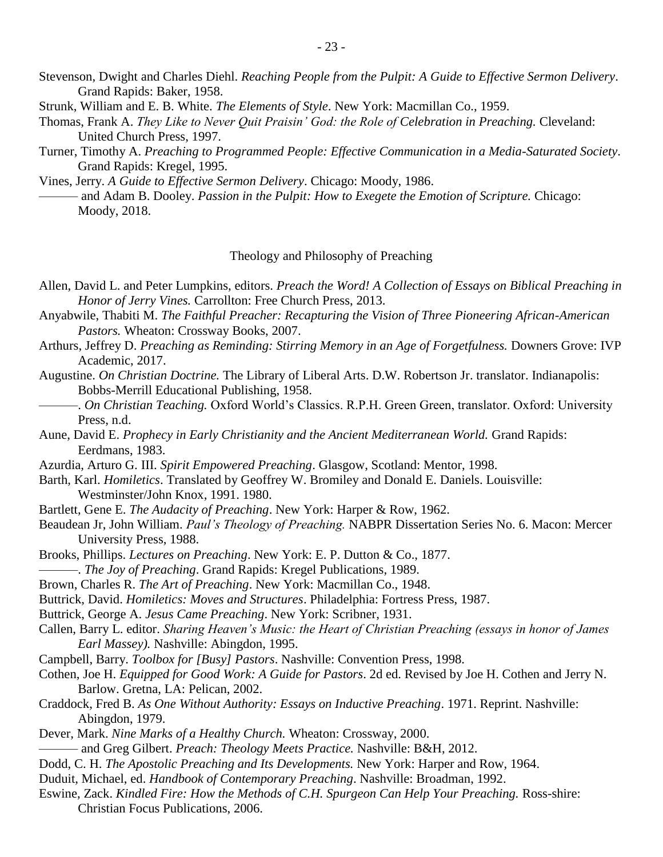- Stevenson, Dwight and Charles Diehl. *Reaching People from the Pulpit: A Guide to Effective Sermon Delivery*. Grand Rapids: Baker, 1958.
- Strunk, William and E. B. White. *The Elements of Style*. New York: Macmillan Co., 1959.
- Thomas, Frank A. *They Like to Never Quit Praisin' God: the Role of Celebration in Preaching.* Cleveland: United Church Press, 1997.
- Turner, Timothy A. *Preaching to Programmed People: Effective Communication in a Media-Saturated Society*. Grand Rapids: Kregel, 1995.
- Vines, Jerry. *A Guide to Effective Sermon Delivery*. Chicago: Moody, 1986.
	- ——— and Adam B. Dooley. *Passion in the Pulpit: How to Exegete the Emotion of Scripture.* Chicago: Moody, 2018.

## Theology and Philosophy of Preaching

- Allen, David L. and Peter Lumpkins, editors. *Preach the Word! A Collection of Essays on Biblical Preaching in Honor of Jerry Vines.* Carrollton: Free Church Press, 2013.
- Anyabwile, Thabiti M. *The Faithful Preacher: Recapturing the Vision of Three Pioneering African-American Pastors.* Wheaton: Crossway Books, 2007.
- Arthurs, Jeffrey D. *Preaching as Reminding: Stirring Memory in an Age of Forgetfulness.* Downers Grove: IVP Academic, 2017.
- Augustine. *On Christian Doctrine.* The Library of Liberal Arts. D.W. Robertson Jr. translator. Indianapolis: Bobbs-Merrill Educational Publishing, 1958.
- ———. *On Christian Teaching.* Oxford World's Classics. R.P.H. Green Green, translator. Oxford: University Press, n.d.
- Aune, David E. *Prophecy in Early Christianity and the Ancient Mediterranean World.* Grand Rapids: Eerdmans, 1983.
- Azurdia, Arturo G. III. *Spirit Empowered Preaching*. Glasgow, Scotland: Mentor, 1998.
- Barth, Karl. *Homiletics*. Translated by Geoffrey W. Bromiley and Donald E. Daniels. Louisville: Westminster/John Knox, 1991. 1980.
- Bartlett, Gene E. *The Audacity of Preaching*. New York: Harper & Row, 1962.
- Beaudean Jr, John William. *Paul's Theology of Preaching.* NABPR Dissertation Series No. 6. Macon: Mercer University Press, 1988.
- Brooks, Phillips. *Lectures on Preaching*. New York: E. P. Dutton & Co., 1877.
- ———. *The Joy of Preaching*. Grand Rapids: Kregel Publications, 1989.
- Brown, Charles R. *The Art of Preaching*. New York: Macmillan Co., 1948.
- Buttrick, David. *Homiletics: Moves and Structures*. Philadelphia: Fortress Press, 1987.
- Buttrick, George A. *Jesus Came Preaching*. New York: Scribner, 1931.
- Callen, Barry L. editor. *Sharing Heaven's Music: the Heart of Christian Preaching (essays in honor of James Earl Massey).* Nashville: Abingdon, 1995.
- Campbell, Barry. *Toolbox for [Busy] Pastors*. Nashville: Convention Press, 1998.
- Cothen, Joe H. *Equipped for Good Work: A Guide for Pastors*. 2d ed. Revised by Joe H. Cothen and Jerry N. Barlow. Gretna, LA: Pelican, 2002.
- Craddock, Fred B. *As One Without Authority: Essays on Inductive Preaching*. 1971. Reprint. Nashville: Abingdon, 1979.
- Dever, Mark. *Nine Marks of a Healthy Church.* Wheaton: Crossway, 2000.
- ——— and Greg Gilbert. *Preach: Theology Meets Practice.* Nashville: B&H, 2012.
- Dodd, C. H. *The Apostolic Preaching and Its Developments.* New York: Harper and Row, 1964.
- Duduit, Michael, ed. *Handbook of Contemporary Preaching*. Nashville: Broadman, 1992.
- Eswine, Zack. *Kindled Fire: How the Methods of C.H. Spurgeon Can Help Your Preaching.* Ross-shire: Christian Focus Publications, 2006.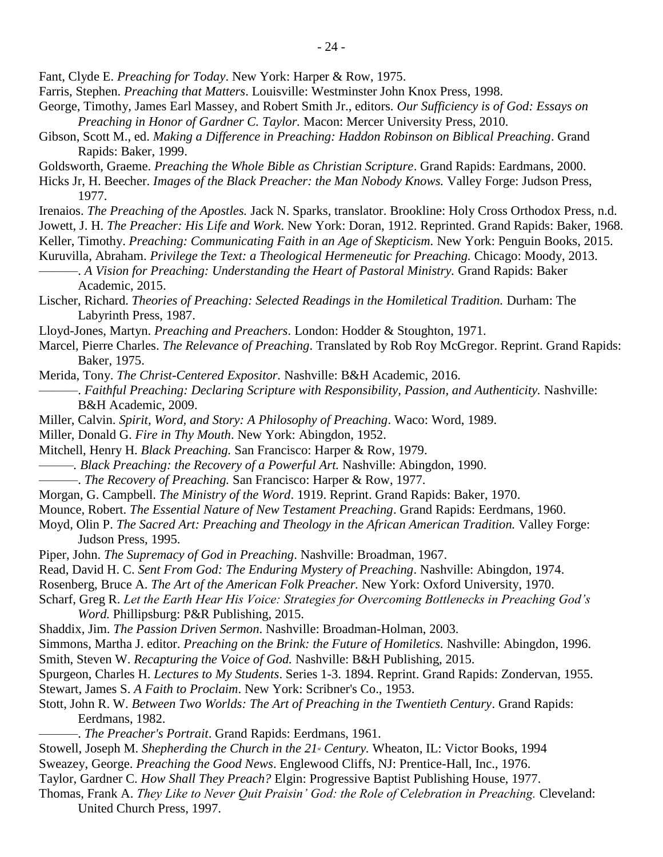Fant, Clyde E. *Preaching for Today*. New York: Harper & Row, 1975.

- Farris, Stephen. *Preaching that Matters*. Louisville: Westminster John Knox Press, 1998.
- George, Timothy, James Earl Massey, and Robert Smith Jr., editors. *Our Sufficiency is of God: Essays on Preaching in Honor of Gardner C. Taylor.* Macon: Mercer University Press, 2010.
- Gibson, Scott M., ed. *Making a Difference in Preaching: Haddon Robinson on Biblical Preaching*. Grand Rapids: Baker, 1999.
- Goldsworth, Graeme. *Preaching the Whole Bible as Christian Scripture*. Grand Rapids: Eardmans, 2000.
- Hicks Jr, H. Beecher. *Images of the Black Preacher: the Man Nobody Knows.* Valley Forge: Judson Press, 1977.
- Irenaios. *The Preaching of the Apostles.* Jack N. Sparks, translator. Brookline: Holy Cross Orthodox Press, n.d. Jowett, J. H. *The Preacher: His Life and Work*. New York: Doran, 1912. Reprinted. Grand Rapids: Baker, 1968. Keller, Timothy. *Preaching: Communicating Faith in an Age of Skepticism.* New York: Penguin Books, 2015. Kuruvilla, Abraham. *Privilege the Text: a Theological Hermeneutic for Preaching.* Chicago: Moody, 2013.
- ———. *A Vision for Preaching: Understanding the Heart of Pastoral Ministry.* Grand Rapids: Baker Academic, 2015.
- Lischer, Richard. *Theories of Preaching: Selected Readings in the Homiletical Tradition.* Durham: The Labyrinth Press, 1987.
- Lloyd-Jones, Martyn. *Preaching and Preachers*. London: Hodder & Stoughton, 1971.
- Marcel, Pierre Charles. *The Relevance of Preaching*. Translated by Rob Roy McGregor. Reprint. Grand Rapids: Baker, 1975.
- Merida, Tony. *The Christ-Centered Expositor.* Nashville: B&H Academic, 2016.
	- ———. *Faithful Preaching: Declaring Scripture with Responsibility, Passion, and Authenticity.* Nashville: B&H Academic, 2009.
- Miller, Calvin. *Spirit, Word, and Story: A Philosophy of Preaching*. Waco: Word, 1989.
- Miller, Donald G. *Fire in Thy Mouth*. New York: Abingdon, 1952.
- Mitchell, Henry H. *Black Preaching.* San Francisco: Harper & Row, 1979.
- *———. Black Preaching: the Recovery of a Powerful Art.* Nashville: Abingdon, 1990.
- ———. *The Recovery of Preaching.* San Francisco: Harper & Row, 1977.
- Morgan, G. Campbell. *The Ministry of the Word*. 1919. Reprint. Grand Rapids: Baker, 1970.
- Mounce, Robert. *The Essential Nature of New Testament Preaching*. Grand Rapids: Eerdmans, 1960.
- Moyd, Olin P. *The Sacred Art: Preaching and Theology in the African American Tradition.* Valley Forge: Judson Press, 1995.
- Piper, John. *The Supremacy of God in Preaching*. Nashville: Broadman, 1967.
- Read, David H. C. *Sent From God: The Enduring Mystery of Preaching*. Nashville: Abingdon, 1974.
- Rosenberg, Bruce A. *The Art of the American Folk Preacher.* New York: Oxford University, 1970.
- Scharf, Greg R. *Let the Earth Hear His Voice: Strategies for Overcoming Bottlenecks in Preaching God's Word.* Phillipsburg: P&R Publishing, 2015.
- Shaddix, Jim. *The Passion Driven Sermon*. Nashville: Broadman-Holman, 2003.
- Simmons, Martha J. editor. *Preaching on the Brink: the Future of Homiletics.* Nashville: Abingdon, 1996. Smith, Steven W. *Recapturing the Voice of God.* Nashville: B&H Publishing, 2015.
- Spurgeon, Charles H. *Lectures to My Students*. Series 1-3. 1894. Reprint. Grand Rapids: Zondervan, 1955. Stewart, James S. *A Faith to Proclaim*. New York: Scribner's Co., 1953.
- Stott, John R. W. *Between Two Worlds: The Art of Preaching in the Twentieth Century*. Grand Rapids: Eerdmans, 1982.
	- ———. *The Preacher's Portrait*. Grand Rapids: Eerdmans, 1961.
- Stowell, Joseph M. *Shepherding the Church in the 21st Century.* Wheaton*,* IL: Victor Books, 1994
- Sweazey, George. *Preaching the Good News*. Englewood Cliffs, NJ: Prentice-Hall, Inc., 1976.
- Taylor, Gardner C. *How Shall They Preach?* Elgin: Progressive Baptist Publishing House, 1977.
- Thomas, Frank A. *They Like to Never Quit Praisin' God: the Role of Celebration in Preaching.* Cleveland: United Church Press, 1997.